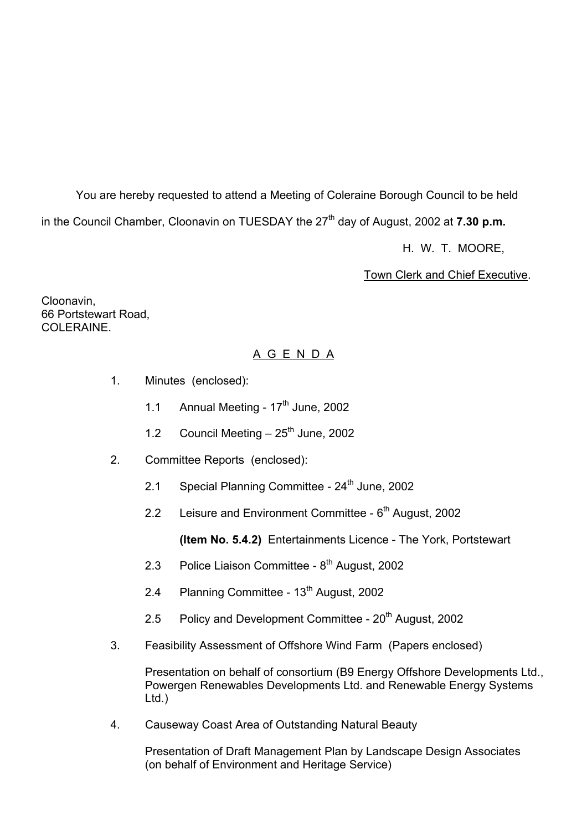You are hereby requested to attend a Meeting of Coleraine Borough Council to be held in the Council Chamber, Cloonavin on TUESDAY the 27<sup>th</sup> day of August, 2002 at **7.30 p.m.** 

H. W. T. MOORE,

## Town Clerk and Chief Executive.

Cloonavin, 66 Portstewart Road, COLERAINE.

# A G E N D A

- 1. Minutes (enclosed):
	- 1.1 Annual Meeting  $17<sup>th</sup>$  June, 2002
	- 1.2 Council Meeting  $-25$ <sup>th</sup> June, 2002
- 2. Committee Reports (enclosed):
	- 2.1 Special Planning Committee  $24<sup>th</sup>$  June, 2002
	- 2.2 Leisure and Environment Committee  $6<sup>th</sup>$  August, 2002

**(Item No. 5.4.2)** Entertainments Licence - The York, Portstewart

- 2.3 Police Liaison Committee 8<sup>th</sup> August, 2002
- 2.4 Planning Committee 13<sup>th</sup> August, 2002
- 2.5 Policy and Development Committee 20<sup>th</sup> August, 2002
- 3. Feasibility Assessment of Offshore Wind Farm (Papers enclosed)

 Presentation on behalf of consortium (B9 Energy Offshore Developments Ltd., Powergen Renewables Developments Ltd. and Renewable Energy Systems Ltd.)

4. Causeway Coast Area of Outstanding Natural Beauty

 Presentation of Draft Management Plan by Landscape Design Associates (on behalf of Environment and Heritage Service)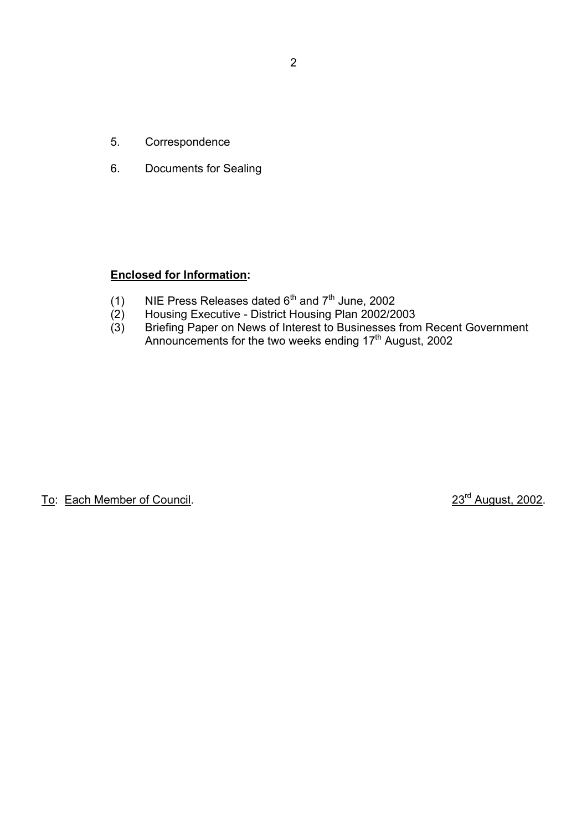- 5. Correspondence
- 6. Documents for Sealing

# **Enclosed for Information:**

- (1) NIE Press Releases dated  $6<sup>th</sup>$  and  $7<sup>th</sup>$  June, 2002
- (2) Housing Executive District Housing Plan 2002/2003
- (3) Briefing Paper on News of Interest to Businesses from Recent Government Announcements for the two weeks ending 17<sup>th</sup> August, 2002

To: Each Member of Council. 23<sup>rd</sup> August, 2002.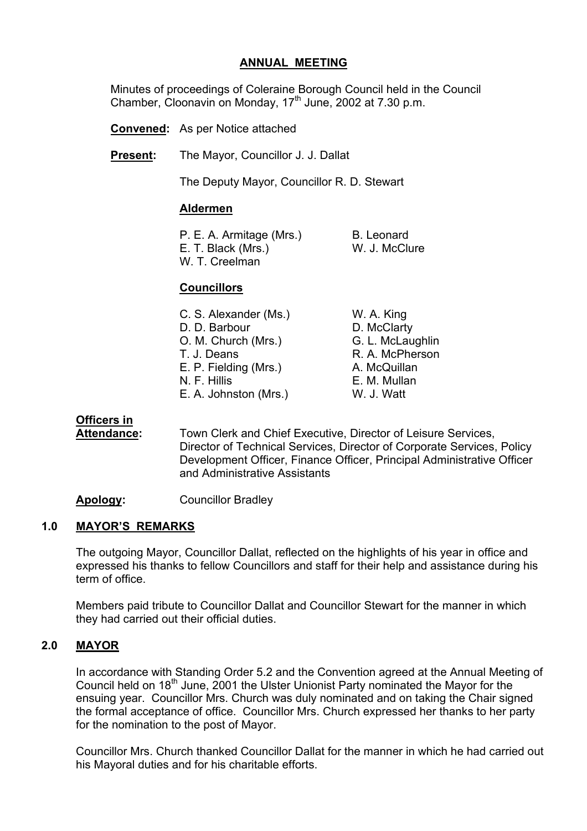## **ANNUAL MEETING**

 Minutes of proceedings of Coleraine Borough Council held in the Council Chamber, Cloonavin on Monday, 17<sup>th</sup> June, 2002 at 7.30 p.m.

**Convened:** As per Notice attached

**Present:** The Mayor, Councillor J. J. Dallat

The Deputy Mayor, Councillor R. D. Stewart

#### **Aldermen**

| P. E. A. Armitage (Mrs.) | B. Leonard    |
|--------------------------|---------------|
| E. T. Black (Mrs.)       | W. J. McClure |
| W. T. Creelman           |               |

## **Councillors**

| C. S. Alexander (Ms.) | W. A. King       |
|-----------------------|------------------|
| D. D. Barbour         | D. McClarty      |
| O. M. Church (Mrs.)   | G. L. McLaughlin |
| T. J. Deans           | R. A. McPherson  |
| E. P. Fielding (Mrs.) | A. McQuillan     |
| N. F. Hillis          | E. M. Mullan     |
| E. A. Johnston (Mrs.) | W. J. Watt       |

## **Officers in**

 **Attendance:** Town Clerk and Chief Executive, Director of Leisure Services, Director of Technical Services, Director of Corporate Services, Policy Development Officer, Finance Officer, Principal Administrative Officer and Administrative Assistants

**Apology:** Councillor Bradley

#### **1.0 MAYORíS REMARKS**

The outgoing Mayor, Councillor Dallat, reflected on the highlights of his year in office and expressed his thanks to fellow Councillors and staff for their help and assistance during his term of office.

Members paid tribute to Councillor Dallat and Councillor Stewart for the manner in which they had carried out their official duties.

#### **2.0 MAYOR**

In accordance with Standing Order 5.2 and the Convention agreed at the Annual Meeting of Council held on 18<sup>th</sup> June, 2001 the Ulster Unionist Party nominated the Mayor for the ensuing year. Councillor Mrs. Church was duly nominated and on taking the Chair signed the formal acceptance of office. Councillor Mrs. Church expressed her thanks to her party for the nomination to the post of Mayor.

Councillor Mrs. Church thanked Councillor Dallat for the manner in which he had carried out his Mayoral duties and for his charitable efforts.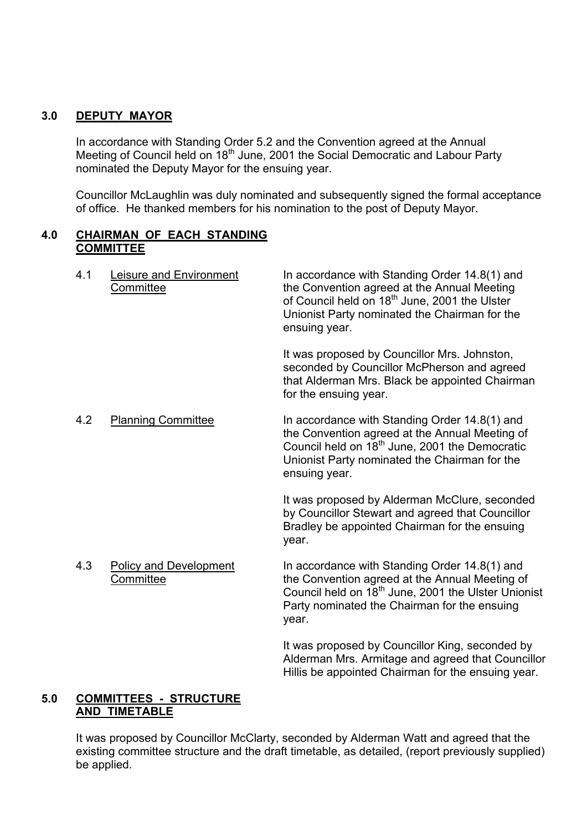## **3.0 DEPUTY MAYOR**

In accordance with Standing Order 5.2 and the Convention agreed at the Annual Meeting of Council held on 18<sup>th</sup> June, 2001 the Social Democratic and Labour Party nominated the Deputy Mayor for the ensuing year.

Councillor McLaughlin was duly nominated and subsequently signed the formal acceptance of office. He thanked members for his nomination to the post of Deputy Mayor.

## **4.0 CHAIRMAN OF EACH STANDING COMMITTEE**

4.1 Leisure and Environment In accordance with Standing Order 14.8(1) and **Committee The Convention agreed at the Annual Meeting** of Council held on 18<sup>th</sup> June, 2001 the Ulster Unionist Party nominated the Chairman for the ensuing year. It was proposed by Councillor Mrs. Johnston,

seconded by Councillor McPherson and agreed that Alderman Mrs. Black be appointed Chairman for the ensuing year.

4.2 Planning Committee In accordance with Standing Order 14.8(1) and the Convention agreed at the Annual Meeting of Council held on 18<sup>th</sup> June, 2001 the Democratic Unionist Party nominated the Chairman for the ensuing year.

> It was proposed by Alderman McClure, seconded by Councillor Stewart and agreed that Councillor Bradley be appointed Chairman for the ensuing year.

4.3 Policy and Development In accordance with Standing Order 14.8(1) and Committee **the Convention agreed at the Annual Meeting of** Council held on 18<sup>th</sup> June, 2001 the Ulster Unionist Party nominated the Chairman for the ensuing year.

> It was proposed by Councillor King, seconded by Alderman Mrs. Armitage and agreed that Councillor Hillis be appointed Chairman for the ensuing year.

## **5.0 COMMITTEES - STRUCTURE AND TIMETABLE**

It was proposed by Councillor McClarty, seconded by Alderman Watt and agreed that the existing committee structure and the draft timetable, as detailed, (report previously supplied) be applied.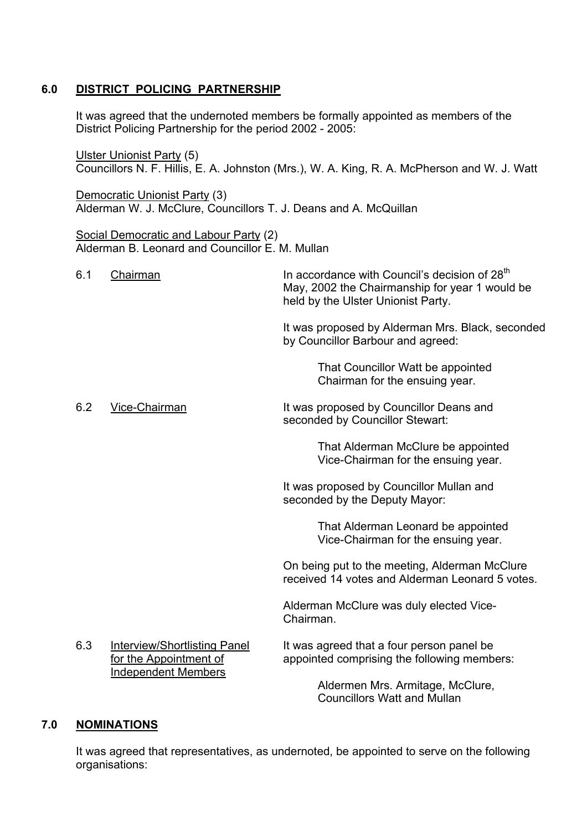## **6.0 DISTRICT POLICING PARTNERSHIP**

 It was agreed that the undernoted members be formally appointed as members of the District Policing Partnership for the period 2002 - 2005:

 Ulster Unionist Party (5) Councillors N. F. Hillis, E. A. Johnston (Mrs.), W. A. King, R. A. McPherson and W. J. Watt

 Democratic Unionist Party (3) Alderman W. J. McClure, Councillors T. J. Deans and A. McQuillan

 Social Democratic and Labour Party (2) Alderman B. Leonard and Councillor E. M. Mullan

6.1 Chairman  $\mu$  In accordance with Council's decision of 28<sup>th</sup> May, 2002 the Chairmanship for year 1 would be held by the Ulster Unionist Party.

> It was proposed by Alderman Mrs. Black, seconded by Councillor Barbour and agreed:

> > That Councillor Watt be appointed Chairman for the ensuing year.

6.2 Vice-Chairman It was proposed by Councillor Deans and seconded by Councillor Stewart:

> That Alderman McClure be appointed Vice-Chairman for the ensuing year.

It was proposed by Councillor Mullan and seconded by the Deputy Mayor:

> That Alderman Leonard be appointed Vice-Chairman for the ensuing year.

On being put to the meeting, Alderman McClure received 14 votes and Alderman Leonard 5 votes.

Alderman McClure was duly elected Vice-Chairman.

6.3 Interview/Shortlisting Panel It was agreed that a four person panel be for the Appointment of appointed comprising the following members: Independent Members

 Aldermen Mrs. Armitage, McClure, Councillors Watt and Mullan

## **7.0 NOMINATIONS**

It was agreed that representatives, as undernoted, be appointed to serve on the following organisations: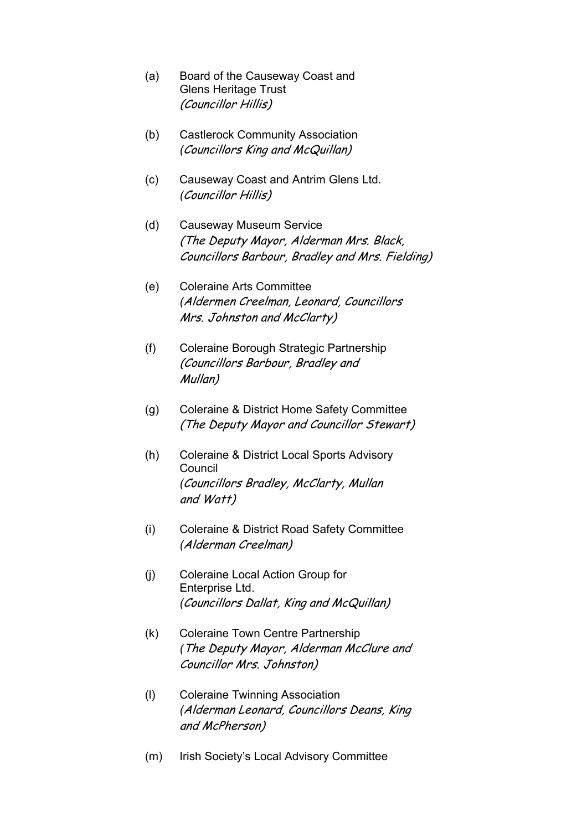- (a) Board of the Causeway Coast and Glens Heritage Trust (Councillor Hillis)
- (b) Castlerock Community Association *(*Councillors King and McQuillan)
- (c) Causeway Coast and Antrim Glens Ltd. *(*Councillor Hillis)
- (d) Causeway Museum Service (The Deputy Mayor, Alderman Mrs. Black, Councillors Barbour, Bradley and Mrs. Fielding)
- (e) Coleraine Arts Committee *(*Aldermen Creelman, Leonard, Councillors Mrs. Johnston and McClarty)
- (f) Coleraine Borough Strategic Partnership (Councillors Barbour, Bradley and Mullan)
- (g) Coleraine & District Home Safety Committee (The Deputy Mayor and Councillor Stewart)
- (h) Coleraine & District Local Sports Advisory Council *(*Councillors Bradley, McClarty, Mullan and Watt)
- (i) Coleraine & District Road Safety Committee *(*Alderman Creelman)
- (j) Coleraine Local Action Group for Enterprise Ltd. *(*Councillors Dallat, King and McQuillan)
- (k) Coleraine Town Centre Partnership *(*The Deputy Mayor, Alderman McClure and Councillor Mrs. Johnston)
- (l) Coleraine Twinning Association *(*Alderman Leonard, Councillors Deans, King and McPherson)
- (m) Irish Societyís Local Advisory Committee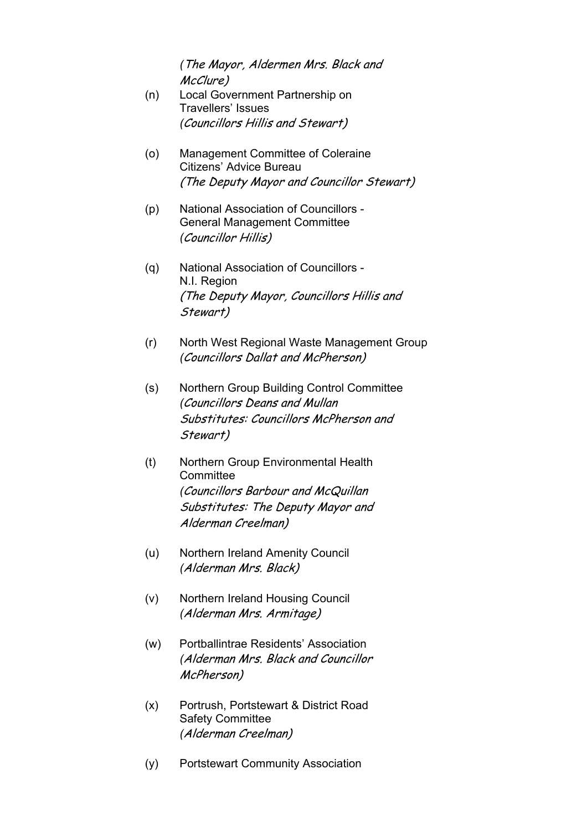*(*The Mayor, Aldermen Mrs. Black and McClure)

- (n) Local Government Partnership on Travellers' Issues *(*Councillors Hillis and Stewart)
- (o) Management Committee of Coleraine Citizens' Advice Bureau (The Deputy Mayor and Councillor Stewart)
- (p) National Association of Councillors General Management Committee *(*Councillor Hillis)
- (q) National Association of Councillors N.I. Region (The Deputy Mayor, Councillors Hillis and Stewart)
- (r) North West Regional Waste Management Group *(*Councillors Dallat and McPherson)
- (s) Northern Group Building Control Committee *(*Councillors Deans and Mullan Substitutes: Councillors McPherson and Stewart)
- (t) Northern Group Environmental Health **Committee**  *(*Councillors Barbour and McQuillan Substitutes: The Deputy Mayor and Alderman Creelman)
- (u) Northern Ireland Amenity Council *(*Alderman Mrs. Black)
- (v) Northern Ireland Housing Council *(*Alderman Mrs. Armitage)
- (w) Portballintrae Residents' Association *(*Alderman Mrs. Black and Councillor McPherson)
- (x) Portrush, Portstewart & District Road Safety Committee *(*Alderman Creelman)
- (y) Portstewart Community Association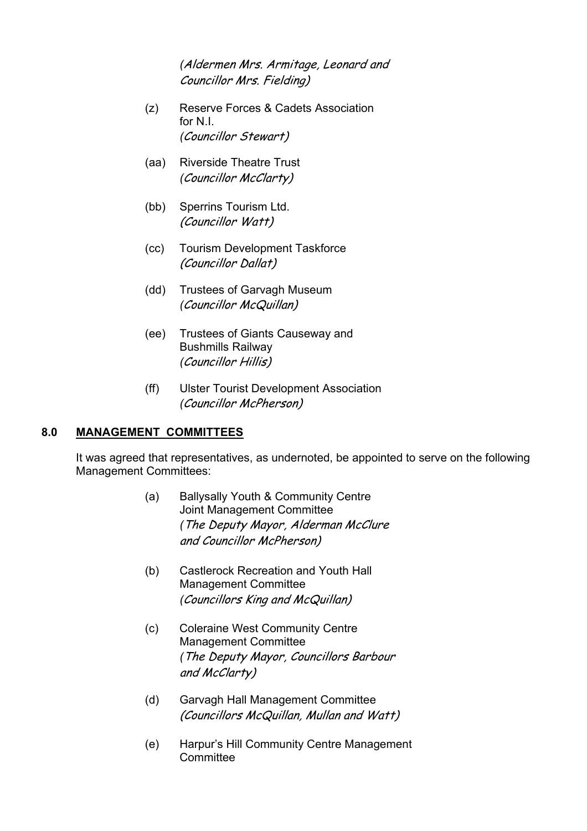*(*Aldermen Mrs. Armitage, Leonard and Councillor Mrs. Fielding)

- (z) Reserve Forces & Cadets Association for N.I. *(*Councillor Stewart)
- (aa) Riverside Theatre Trust *(*Councillor McClarty)
- (bb) Sperrins Tourism Ltd. (Councillor Watt)
- (cc) Tourism Development Taskforce (Councillor Dallat)
- (dd) Trustees of Garvagh Museum *(*Councillor McQuillan)
- (ee) Trustees of Giants Causeway and Bushmills Railway *(*Councillor Hillis)
- (ff) Ulster Tourist Development Association *(*Councillor McPherson)

## **8.0 MANAGEMENT COMMITTEES**

It was agreed that representatives, as undernoted, be appointed to serve on the following Management Committees:

- (a) Ballysally Youth & Community Centre Joint Management Committee *(*The Deputy Mayor, Alderman McClure and Councillor McPherson)
- (b) Castlerock Recreation and Youth Hall Management Committee *(*Councillors King and McQuillan)
- (c) Coleraine West Community Centre Management Committee *(*The Deputy Mayor, Councillors Barbour and McClarty)
- (d) Garvagh Hall Management Committee (Councillors McQuillan, Mullan and Watt)
- (e) Harpurís Hill Community Centre Management Committee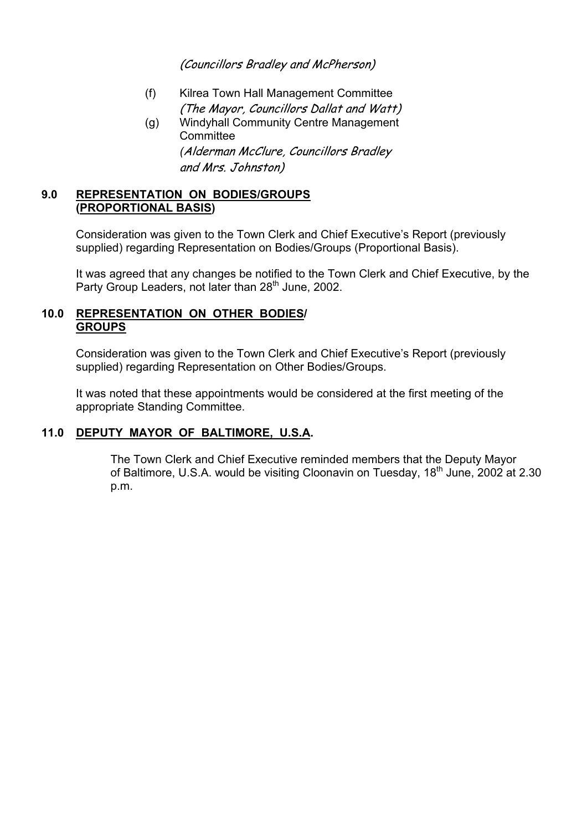(Councillors Bradley and McPherson)

- (f) Kilrea Town Hall Management Committee (The Mayor, Councillors Dallat and Watt)
- (g) Windyhall Community Centre Management **Committee**  *(*Alderman McClure, Councillors Bradley and Mrs. Johnston)

## **9.0 REPRESENTATION ON BODIES/GROUPS (PROPORTIONAL BASIS)**

Consideration was given to the Town Clerk and Chief Executive's Report (previously supplied) regarding Representation on Bodies/Groups (Proportional Basis).

It was agreed that any changes be notified to the Town Clerk and Chief Executive, by the Party Group Leaders, not later than 28<sup>th</sup> June, 2002.

## **10.0 REPRESENTATION ON OTHER BODIES/ GROUPS**

Consideration was given to the Town Clerk and Chief Executive's Report (previously supplied) regarding Representation on Other Bodies/Groups.

It was noted that these appointments would be considered at the first meeting of the appropriate Standing Committee.

## **11.0 DEPUTY MAYOR OF BALTIMORE, U.S.A.**

The Town Clerk and Chief Executive reminded members that the Deputy Mayor of Baltimore, U.S.A. would be visiting Cloonavin on Tuesday, 18<sup>th</sup> June, 2002 at 2.30 p.m.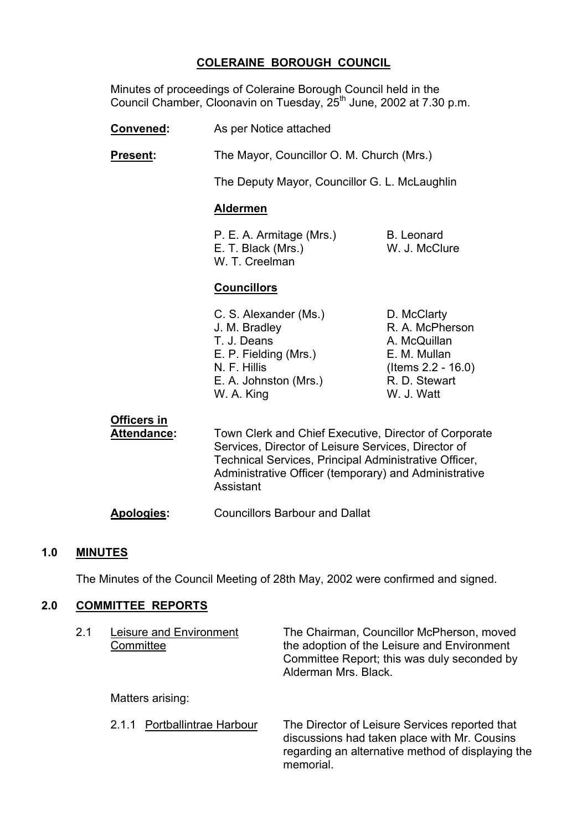## **COLERAINE BOROUGH COUNCIL**

 Minutes of proceedings of Coleraine Borough Council held in the Council Chamber, Cloonavin on Tuesday, 25<sup>th</sup> June, 2002 at 7.30 p.m.

**Convened:** As per Notice attached

**Present:** The Mayor, Councillor O. M. Church (Mrs.)

The Deputy Mayor, Councillor G. L. McLaughlin

#### **Aldermen**

P. E. A. Armitage (Mrs.) B. Leonard E. T. Black (Mrs.) W. J. McClure W. T. Creelman

#### **Councillors**

| C. S. Alexander (Ms.) | D. McClarty           |
|-----------------------|-----------------------|
| J. M. Bradley         | R. A. McPherson       |
| T. J. Deans           | A. McQuillan          |
| E. P. Fielding (Mrs.) | E. M. Mullan          |
| N. F. Hillis          | (Items $2.2 - 16.0$ ) |
| E. A. Johnston (Mrs.) | R. D. Stewart         |
| W. A. King            | W. J. Watt            |
|                       |                       |

**Officers in**

Attendance: Town Clerk and Chief Executive, Director of Corporate Services, Director of Leisure Services, Director of Technical Services, Principal Administrative Officer, Administrative Officer (temporary) and Administrative Assistant

**Apologies:** Councillors Barbour and Dallat

#### **1.0 MINUTES**

The Minutes of the Council Meeting of 28th May, 2002 were confirmed and signed.

#### **2.0 COMMITTEE REPORTS**

| 2.1 | Leisure and Environment<br>Committee | The Chairman, Councillor McPherson, moved<br>the adoption of the Leisure and Environment<br>Committee Report; this was duly seconded by<br>Alderman Mrs. Black. |
|-----|--------------------------------------|-----------------------------------------------------------------------------------------------------------------------------------------------------------------|
|     | Matters arising:                     |                                                                                                                                                                 |
|     | Portballintrae Harbour<br>2.1.1      | The Director of Leisure Services reported that<br>discussions had taken place with Mr. Cousins<br>regarding an alternative method of displaying the<br>memorial |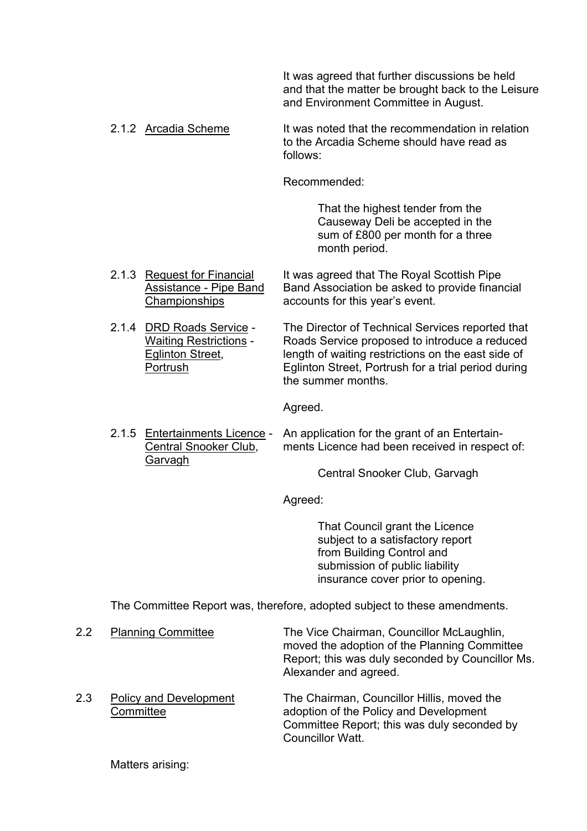It was agreed that further discussions be held and that the matter be brought back to the Leisure and Environment Committee in August.

2.1.2 Arcadia Scheme It was noted that the recommendation in relation to the Arcadia Scheme should have read as follows:

Recommended:

 That the highest tender from the Causeway Deli be accepted in the sum of £800 per month for a three month period.

- 2.1.3 Request for Financial It was agreed that The Royal Scottish Pipe Assistance - Pipe Band Band Association be asked to provide financial Championships accounts for this year's event.
- 2.1.4 DRD Roads Service The Director of Technical Services reported that Waiting Restrictions - Roads Service proposed to introduce a reduced Eglinton Street, length of waiting restrictions on the east side of Portrush Eglinton Street, Portrush for a trial period during the summer months.

Agreed.

2.1.5 Entertainments Licence - An application for the grant of an Entertain- Central Snooker Club, ments Licence had been received in respect of: Garvagh

Central Snooker Club, Garvagh

Agreed:

 That Council grant the Licence subject to a satisfactory report from Building Control and submission of public liability insurance cover prior to opening.

The Committee Report was, therefore, adopted subject to these amendments.

 2.2 Planning Committee The Vice Chairman, Councillor McLaughlin, moved the adoption of the Planning Committee Report; this was duly seconded by Councillor Ms. Alexander and agreed. 2.3 Policy and Development The Chairman, Councillor Hillis, moved the Committee and adoption of the Policy and Development Committee Report; this was duly seconded by Councillor Watt

Matters arising: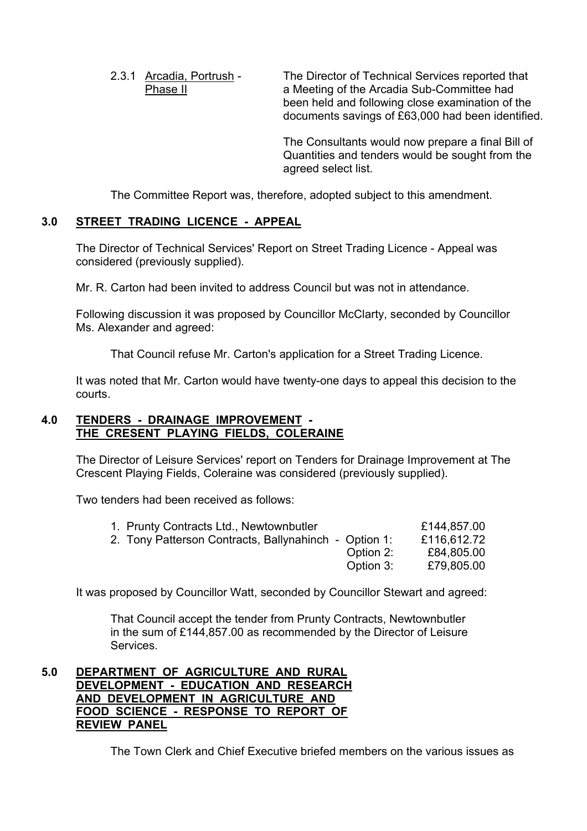2.3.1 Arcadia, Portrush - The Director of Technical Services reported that Phase II a Meeting of the Arcadia Sub-Committee had been held and following close examination of the documents savings of £63,000 had been identified.

> The Consultants would now prepare a final Bill of Quantities and tenders would be sought from the agreed select list.

The Committee Report was, therefore, adopted subject to this amendment.

# **3.0 STREET TRADING LICENCE - APPEAL**

 The Director of Technical Services' Report on Street Trading Licence - Appeal was considered (previously supplied).

Mr. R. Carton had been invited to address Council but was not in attendance.

 Following discussion it was proposed by Councillor McClarty, seconded by Councillor Ms. Alexander and agreed:

That Council refuse Mr. Carton's application for a Street Trading Licence.

 It was noted that Mr. Carton would have twenty-one days to appeal this decision to the courts.

# **4.0 TENDERS - DRAINAGE IMPROVEMENT - THE CRESENT PLAYING FIELDS, COLERAINE**

 The Director of Leisure Services' report on Tenders for Drainage Improvement at The Crescent Playing Fields, Coleraine was considered (previously supplied).

Two tenders had been received as follows:

| 1. Prunty Contracts Ltd., Newtownbutler               | £144,857.00 |
|-------------------------------------------------------|-------------|
| 2. Tony Patterson Contracts, Ballynahinch - Option 1: | £116,612.72 |
| Option 2:                                             | £84,805.00  |
| Option 3:                                             | £79,805.00  |

It was proposed by Councillor Watt, seconded by Councillor Stewart and agreed:

 That Council accept the tender from Prunty Contracts, Newtownbutler in the sum of £144,857.00 as recommended by the Director of Leisure Services.

## **5.0 DEPARTMENT OF AGRICULTURE AND RURAL DEVELOPMENT - EDUCATION AND RESEARCH AND DEVELOPMENT IN AGRICULTURE AND FOOD SCIENCE - RESPONSE TO REPORT OF REVIEW PANEL**

The Town Clerk and Chief Executive briefed members on the various issues as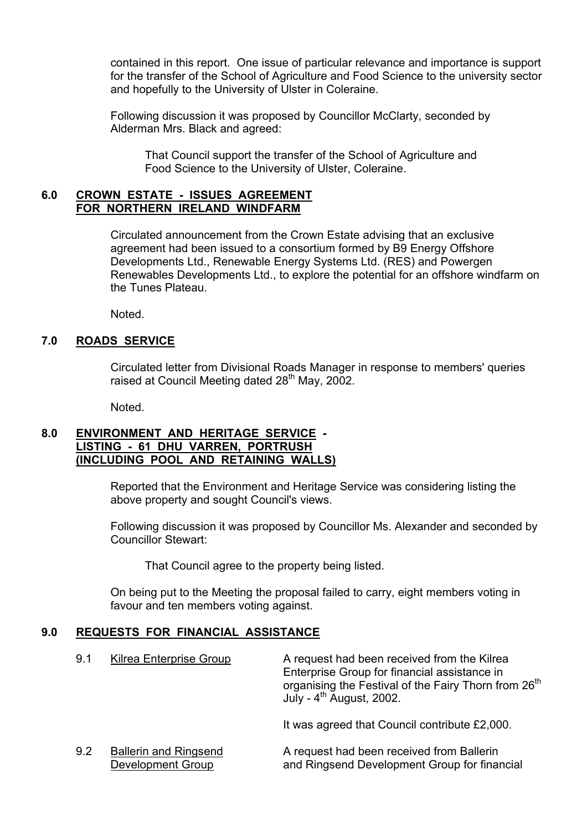contained in this report. One issue of particular relevance and importance is support for the transfer of the School of Agriculture and Food Science to the university sector and hopefully to the University of Ulster in Coleraine.

 Following discussion it was proposed by Councillor McClarty, seconded by Alderman Mrs. Black and agreed:

 That Council support the transfer of the School of Agriculture and Food Science to the University of Ulster, Coleraine.

## **6.0 CROWN ESTATE - ISSUES AGREEMENT FOR NORTHERN IRELAND WINDFARM**

 Circulated announcement from the Crown Estate advising that an exclusive agreement had been issued to a consortium formed by B9 Energy Offshore Developments Ltd., Renewable Energy Systems Ltd. (RES) and Powergen Renewables Developments Ltd., to explore the potential for an offshore windfarm on the Tunes Plateau.

Noted.

## **7.0 ROADS SERVICE**

 Circulated letter from Divisional Roads Manager in response to members' queries raised at Council Meeting dated 28<sup>th</sup> May, 2002.

Noted.

## **8.0 ENVIRONMENT AND HERITAGE SERVICE - LISTING - 61 DHU VARREN, PORTRUSH (INCLUDING POOL AND RETAINING WALLS)**

Reported that the Environment and Heritage Service was considering listing the above property and sought Council's views.

 Following discussion it was proposed by Councillor Ms. Alexander and seconded by Councillor Stewart:

That Council agree to the property being listed.

 On being put to the Meeting the proposal failed to carry, eight members voting in favour and ten members voting against.

## **9.0 REQUESTS FOR FINANCIAL ASSISTANCE**

| 9.1 | Kilrea Enterprise Group                           | A request had been received from the Kilrea<br>Enterprise Group for financial assistance in<br>organising the Festival of the Fairy Thorn from 26 <sup>th</sup><br>July - $4^{\text{th}}$ August, 2002. |
|-----|---------------------------------------------------|---------------------------------------------------------------------------------------------------------------------------------------------------------------------------------------------------------|
|     |                                                   | It was agreed that Council contribute £2,000.                                                                                                                                                           |
| 9.2 | <b>Ballerin and Ringsend</b><br>Development Group | A request had been received from Ballerin<br>and Ringsend Development Group for financial                                                                                                               |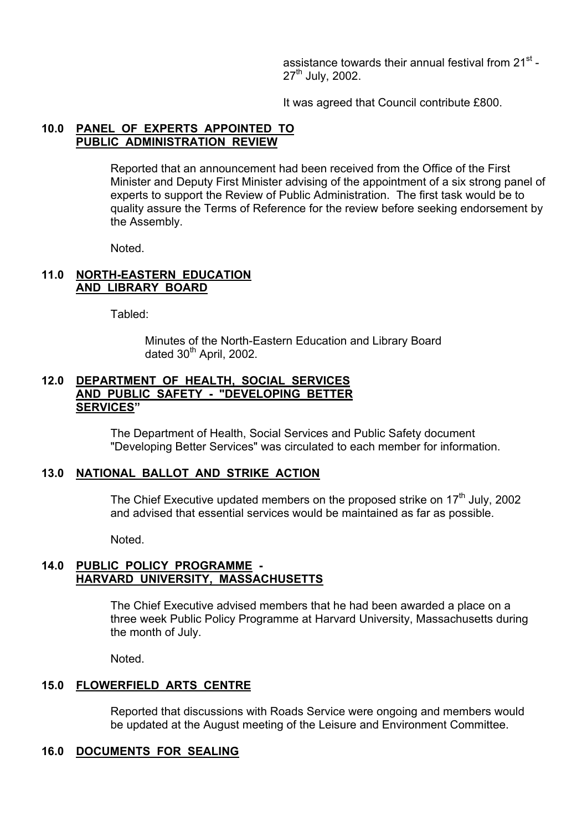assistance towards their annual festival from 21<sup>st</sup> -27<sup>th</sup> July, 2002.

It was agreed that Council contribute £800.

## **10.0 PANEL OF EXPERTS APPOINTED TO PUBLIC ADMINISTRATION REVIEW**

 Reported that an announcement had been received from the Office of the First Minister and Deputy First Minister advising of the appointment of a six strong panel of experts to support the Review of Public Administration. The first task would be to quality assure the Terms of Reference for the review before seeking endorsement by the Assembly.

Noted.

#### **11.0 NORTH-EASTERN EDUCATION AND LIBRARY BOARD**

Tabled:

 Minutes of the North-Eastern Education and Library Board dated 30<sup>th</sup> April, 2002.

#### **12.0 DEPARTMENT OF HEALTH, SOCIAL SERVICES AND PUBLIC SAFETY - "DEVELOPING BETTER SERVICESî**

 The Department of Health, Social Services and Public Safety document "Developing Better Services" was circulated to each member for information.

#### **13.0 NATIONAL BALLOT AND STRIKE ACTION**

The Chief Executive updated members on the proposed strike on  $17<sup>th</sup>$  July, 2002 and advised that essential services would be maintained as far as possible.

Noted.

## **14.0 PUBLIC POLICY PROGRAMME - HARVARD UNIVERSITY, MASSACHUSETTS**

 The Chief Executive advised members that he had been awarded a place on a three week Public Policy Programme at Harvard University, Massachusetts during the month of July.

Noted.

#### **15.0 FLOWERFIELD ARTS CENTRE**

 Reported that discussions with Roads Service were ongoing and members would be updated at the August meeting of the Leisure and Environment Committee.

#### **16.0 DOCUMENTS FOR SEALING**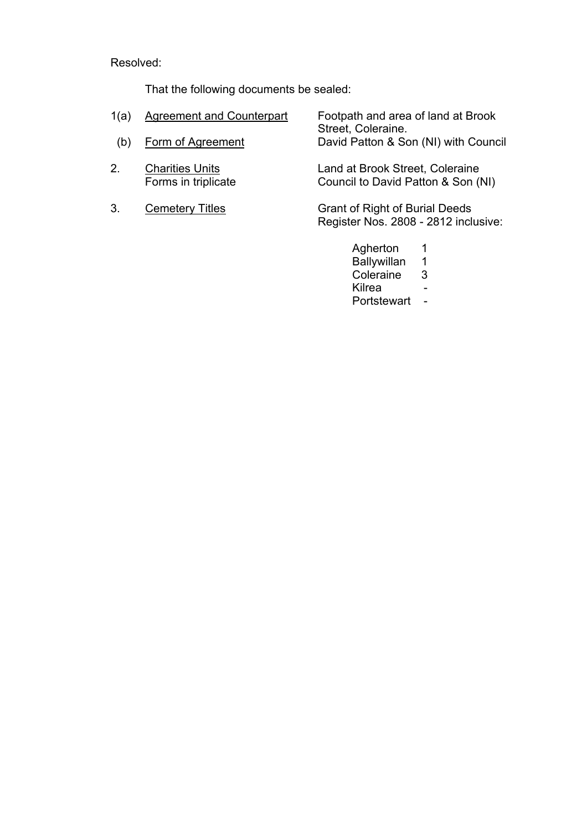Resolved:

That the following documents be sealed:

| 1(a) | <b>Agreement and Counterpart</b>              | Footpath and area of land at Brook<br>Street, Coleraine.               |
|------|-----------------------------------------------|------------------------------------------------------------------------|
| (b)  | Form of Agreement                             | David Patton & Son (NI) with Council                                   |
| 2.   | <b>Charities Units</b><br>Forms in triplicate | Land at Brook Street, Coleraine<br>Council to David Patton & Son (NI)  |
| 3.   | <b>Cemetery Titles</b>                        | Grant of Right of Burial Deeds<br>Register Nos. 2808 - 2812 inclusive: |

 Agherton 1 Ballywillan 1 **Coleraine 3** 3 e de la contradición de la contradición de la contradición de la contradición de la contradición de la contrad Portstewart -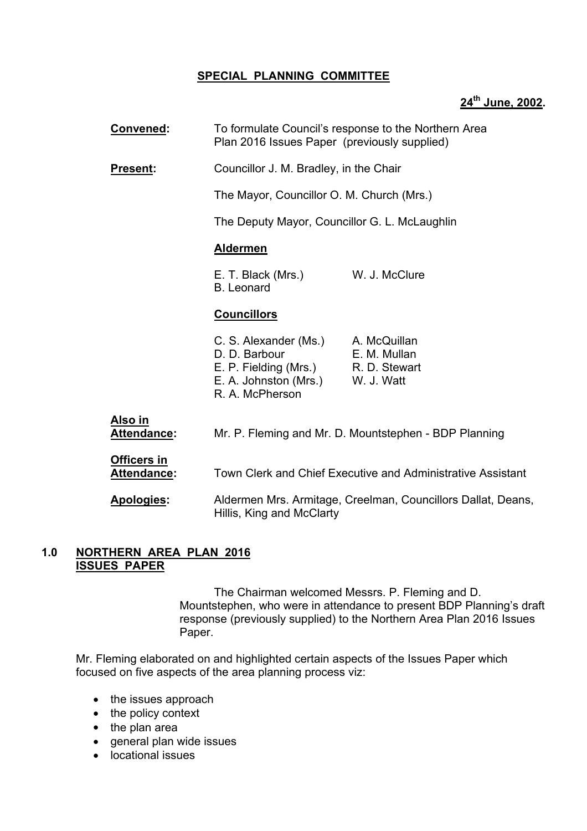# **SPECIAL PLANNING COMMITTEE**

## **24th June, 2002.**

| Convened:                     | To formulate Council's response to the Northern Area<br>Plan 2016 Issues Paper (previously supplied)                                 |                                                              |  |
|-------------------------------|--------------------------------------------------------------------------------------------------------------------------------------|--------------------------------------------------------------|--|
| Present:                      | Councillor J. M. Bradley, in the Chair                                                                                               |                                                              |  |
|                               | The Mayor, Councillor O. M. Church (Mrs.)                                                                                            |                                                              |  |
|                               | The Deputy Mayor, Councillor G. L. McLaughlin                                                                                        |                                                              |  |
|                               | <b>Aldermen</b>                                                                                                                      |                                                              |  |
|                               | E. T. Black (Mrs.)<br><b>B.</b> Leonard                                                                                              | W. J. McClure                                                |  |
|                               | <b>Councillors</b>                                                                                                                   |                                                              |  |
|                               | C. S. Alexander (Ms.)<br>D. D. Barbour<br>E. P. Fielding (Mrs.) R. D. Stewart<br>E. A. Johnston (Mrs.) W. J. Watt<br>R. A. McPherson | A. McQuillan<br>E. M. Mullan                                 |  |
| Also in<br><b>Attendance:</b> |                                                                                                                                      | Mr. P. Fleming and Mr. D. Mountstephen - BDP Planning        |  |
| Officers in<br>Attendance:    | Town Clerk and Chief Executive and Administrative Assistant                                                                          |                                                              |  |
| Apologies:                    | Hillis, King and McClarty                                                                                                            | Aldermen Mrs. Armitage, Creelman, Councillors Dallat, Deans, |  |
|                               |                                                                                                                                      |                                                              |  |

## **1.0 NORTHERN AREA PLAN 2016 ISSUES PAPER**

 The Chairman welcomed Messrs. P. Fleming and D. Mountstephen, who were in attendance to present BDP Planningís draft response (previously supplied) to the Northern Area Plan 2016 Issues Paper.

 Mr. Fleming elaborated on and highlighted certain aspects of the Issues Paper which focused on five aspects of the area planning process viz:

- the issues approach
- the policy context
- the plan area
- general plan wide issues
- locational issues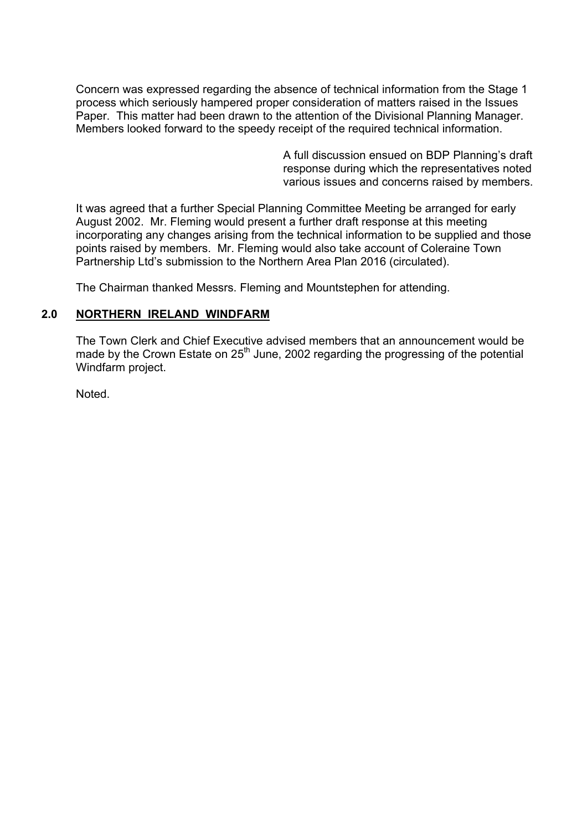Concern was expressed regarding the absence of technical information from the Stage 1 process which seriously hampered proper consideration of matters raised in the Issues Paper. This matter had been drawn to the attention of the Divisional Planning Manager. Members looked forward to the speedy receipt of the required technical information.

> A full discussion ensued on BDP Planningís draft response during which the representatives noted various issues and concerns raised by members.

It was agreed that a further Special Planning Committee Meeting be arranged for early August 2002. Mr. Fleming would present a further draft response at this meeting incorporating any changes arising from the technical information to be supplied and those points raised by members. Mr. Fleming would also take account of Coleraine Town Partnership Ltd's submission to the Northern Area Plan 2016 (circulated).

The Chairman thanked Messrs. Fleming and Mountstephen for attending.

## **2.0 NORTHERN IRELAND WINDFARM**

The Town Clerk and Chief Executive advised members that an announcement would be made by the Crown Estate on  $25<sup>th</sup>$  June, 2002 regarding the progressing of the potential Windfarm project.

Noted.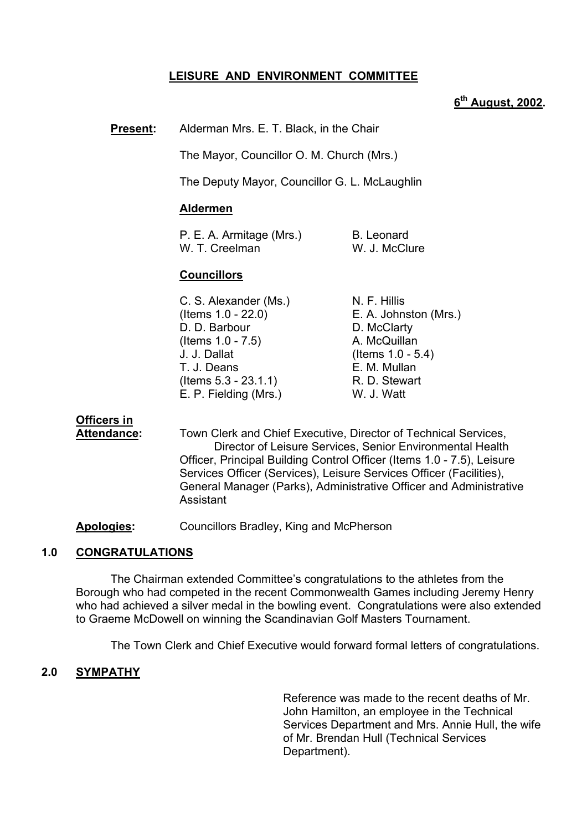# **LEISURE AND ENVIRONMENT COMMITTEE**

## **6th August, 2002.**

**Present:** Alderman Mrs. E. T. Black, in the Chair

The Mayor, Councillor O. M. Church (Mrs.)

The Deputy Mayor, Councillor G. L. McLaughlin

#### **Aldermen**

| P. E. A. Armitage (Mrs.) | B. Leonard    |
|--------------------------|---------------|
| W. T. Creelman           | W. J. McClure |

## **Councillors**

| C. S. Alexander (Ms.)   | N. F. Hillis          |
|-------------------------|-----------------------|
| (Items $1.0 - 22.0$ )   | E. A. Johnston (Mrs.) |
| D. D. Barbour           | D. McClarty           |
| (Items $1.0 - 7.5$ )    | A. McQuillan          |
| J. J. Dallat            | (Items $1.0 - 5.4$ )  |
| T. J. Deans             | E. M. Mullan          |
| $($ ltems 5.3 - 23.1.1) | R. D. Stewart         |
| E. P. Fielding (Mrs.)   | W. J. Watt            |

# **Officers in**

 **Attendance:** Town Clerk and Chief Executive, Director of Technical Services, Director of Leisure Services, Senior Environmental Health Officer, Principal Building Control Officer (Items 1.0 - 7.5), Leisure Services Officer (Services), Leisure Services Officer (Facilities), General Manager (Parks), Administrative Officer and Administrative **Assistant** 

**Apologies:** Councillors Bradley, King and McPherson

## **1.0 CONGRATULATIONS**

 The Chairman extended Committeeís congratulations to the athletes from the Borough who had competed in the recent Commonwealth Games including Jeremy Henry who had achieved a silver medal in the bowling event. Congratulations were also extended to Graeme McDowell on winning the Scandinavian Golf Masters Tournament.

The Town Clerk and Chief Executive would forward formal letters of congratulations.

#### **2.0 SYMPATHY**

Reference was made to the recent deaths of Mr. John Hamilton, an employee in the Technical Services Department and Mrs. Annie Hull, the wife of Mr. Brendan Hull (Technical Services Department).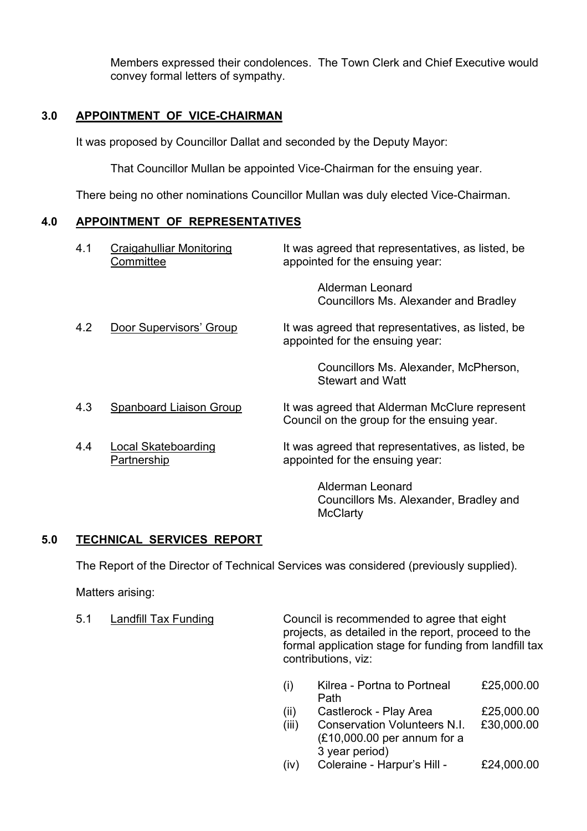Members expressed their condolences. The Town Clerk and Chief Executive would convey formal letters of sympathy.

# **3.0 APPOINTMENT OF VICE-CHAIRMAN**

It was proposed by Councillor Dallat and seconded by the Deputy Mayor:

That Councillor Mullan be appointed Vice-Chairman for the ensuing year.

There being no other nominations Councillor Mullan was duly elected Vice-Chairman.

## **4.0 APPOINTMENT OF REPRESENTATIVES**

| 4.1 | <b>Craigahulliar Monitoring</b><br>Committee | It was agreed that representatives, as listed, be<br>appointed for the ensuing year:        |
|-----|----------------------------------------------|---------------------------------------------------------------------------------------------|
|     |                                              | Alderman Leonard<br>Councillors Ms. Alexander and Bradley                                   |
| 4.2 | Door Supervisors' Group                      | It was agreed that representatives, as listed, be<br>appointed for the ensuing year:        |
|     |                                              | Councillors Ms. Alexander, McPherson,<br><b>Stewart and Watt</b>                            |
| 4.3 | Spanboard Liaison Group                      | It was agreed that Alderman McClure represent<br>Council on the group for the ensuing year. |
| 4.4 | <b>Local Skateboarding</b><br>Partnership    | It was agreed that representatives, as listed, be<br>appointed for the ensuing year:        |
|     |                                              | <b>Alderman Leonard</b><br>Councillors Ms. Alexander, Bradley and<br><b>McClarty</b>        |

# **5.0 TECHNICAL SERVICES REPORT**

The Report of the Director of Technical Services was considered (previously supplied).

Matters arising:

5.1 Landfill Tax Funding Council is recommended to agree that eight projects, as detailed in the report, proceed to the formal application stage for funding from landfill tax contributions, viz:

|  | Kilrea - Portna to Portneal | £25,000.00                                                                    |
|--|-----------------------------|-------------------------------------------------------------------------------|
|  | Path                        |                                                                               |
|  | ___                         | $\bullet$ $\bullet$ $\circ$ $\bullet$ $\bullet$ $\bullet$ $\bullet$ $\bullet$ |

- $(ii)$  Castlerock Play Area  $£25,000.00$
- (iii) Conservation Volunteers N.I. £30,000.00 (£10,000.00 per annum for a 3 year period)
- $(iv)$  Coleraine Harpur's Hill  $£24,000.00$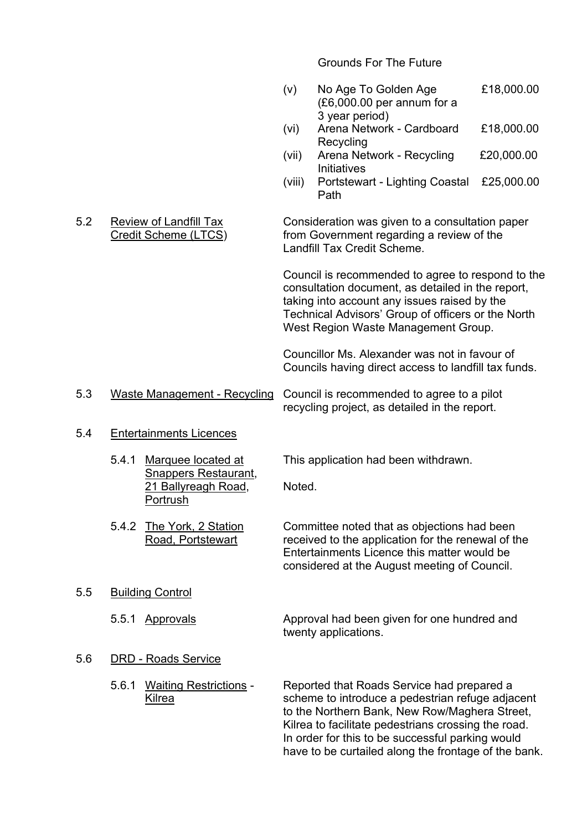Grounds For The Future

- (v) No Age To Golden Age £18,000.00 (£6,000.00 per annum for a 3 year period)
- (vi) Arena Network Cardboard £18,000.00 **Recycling**
- (vii) Arena Network Recycling £20,000.00 **Initiatives**
- (viii) Portstewart Lighting Coastal £25,000.00 Path

#### 5.2 Review of Landfill Tax Consideration was given to a consultation paper Credit Scheme (LTCS) from Government regarding a review of the Landfill Tax Credit Scheme.

Council is recommended to agree to respond to the consultation document, as detailed in the report, taking into account any issues raised by the Technical Advisors' Group of officers or the North West Region Waste Management Group.

Councillor Ms. Alexander was not in favour of Councils having direct access to landfill tax funds.

 5.3 Waste Management - Recycling Council is recommended to agree to a pilot recycling project, as detailed in the report.

#### 5.4 Entertainments Licences

 Snappers Restaurant, 21 Ballyreagh Road, Noted. Portrush

5.4.1 Marquee located at This application had been withdrawn.

- 5.4.2 The York, 2 Station Committee noted that as objections had been Road, Portstewart received to the application for the renewal of the Entertainments Licence this matter would be considered at the August meeting of Council.
- 5.5 Building Control
	- 5.5.1 Approvals Approval had been given for one hundred and twenty applications.

#### 5.6 DRD - Roads Service

 5.6.1 Waiting Restrictions - Reported that Roads Service had prepared a Kilrea scheme to introduce a pedestrian refuge adjacent to the Northern Bank, New Row/Maghera Street, Kilrea to facilitate pedestrians crossing the road. In order for this to be successful parking would have to be curtailed along the frontage of the bank.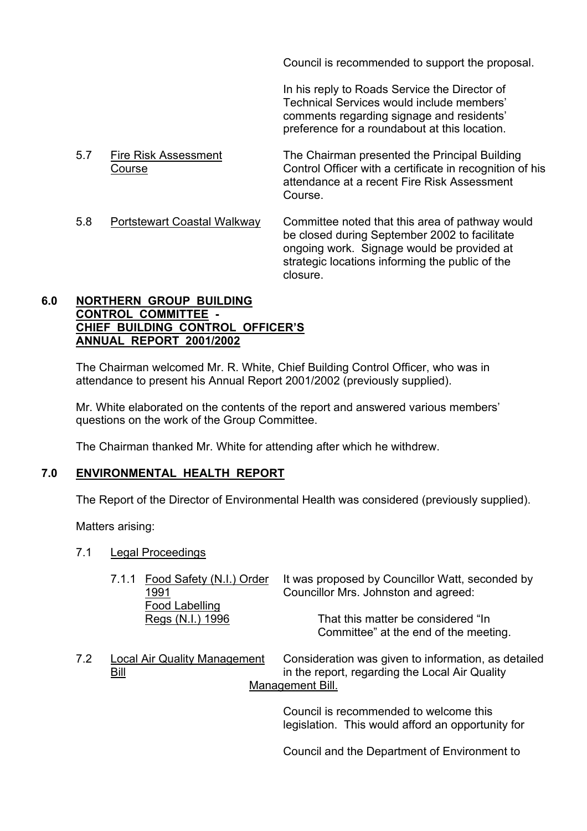Council is recommended to support the proposal.

In his reply to Roads Service the Director of Technical Services would include members' comments regarding signage and residents' preference for a roundabout at this location.

- 5.7 Fire Risk Assessment The Chairman presented the Principal Building Course Control Officer with a certificate in recognition of his attendance at a recent Fire Risk Assessment **Course**
- 5.8 Portstewart Coastal Walkway Committee noted that this area of pathway would be closed during September 2002 to facilitate ongoing work. Signage would be provided at strategic locations informing the public of the closure.

## **6.0 NORTHERN GROUP BUILDING CONTROL COMMITTEE - CHIEF BUILDING CONTROL OFFICERíS ANNUAL REPORT 2001/2002**

The Chairman welcomed Mr. R. White, Chief Building Control Officer, who was in attendance to present his Annual Report 2001/2002 (previously supplied).

Mr. White elaborated on the contents of the report and answered various members' questions on the work of the Group Committee.

The Chairman thanked Mr. White for attending after which he withdrew.

# **7.0 ENVIRONMENTAL HEALTH REPORT**

The Report of the Director of Environmental Health was considered (previously supplied).

Matters arising:

- 7.1 Legal Proceedings
	- 7.1.1 Food Safety (N.I.) Order It was proposed by Councillor Watt, seconded by 1991 Councillor Mrs. Johnston and agreed: Food Labelling Regs (N.I.) 1996 That this matter be considered "In Committee" at the end of the meeting.
- 7.2 Local Air Quality Management Consideration was given to information, as detailed Bill in the report, regarding the Local Air Quality Management Bill.

Council is recommended to welcome this legislation. This would afford an opportunity for

Council and the Department of Environment to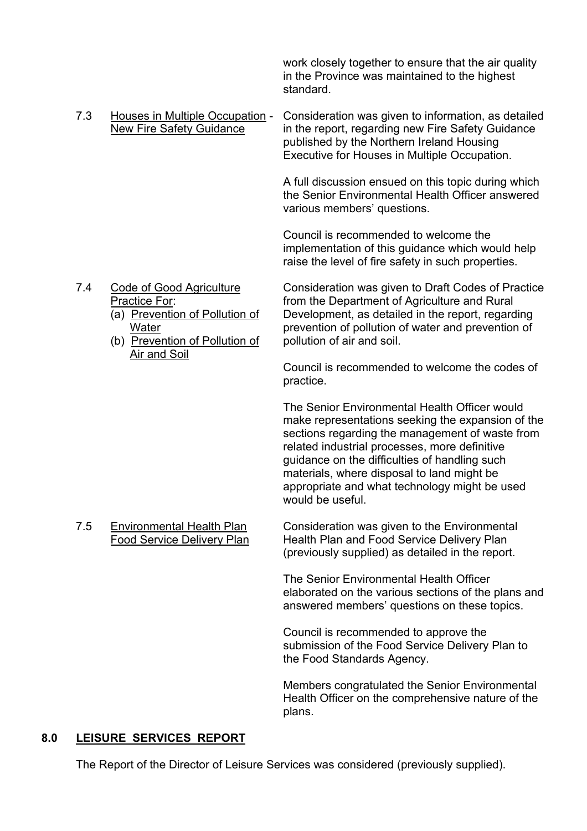work closely together to ensure that the air quality in the Province was maintained to the highest standard.

 7.3 Houses in Multiple Occupation - Consideration was given to information, as detailed New Fire Safety Guidance in the report, regarding new Fire Safety Guidance published by the Northern Ireland Housing Executive for Houses in Multiple Occupation.

> A full discussion ensued on this topic during which the Senior Environmental Health Officer answered various members' questions.

 Council is recommended to welcome the implementation of this guidance which would help raise the level of fire safety in such properties.

- -
	- (b) Prevention of Pollution of Air and Soil

 7.4 Code of Good Agriculture Consideration was given to Draft Codes of Practice Practice For: **Fractice For: from the Department of Agriculture and Rural** (a) Prevention of Pollution of Development, as detailed in the report, regarding Water prevention of pollution of water and prevention of Pollution of pollution of water and prevention of Pollution of air and soil.

> Council is recommended to welcome the codes of practice.

The Senior Environmental Health Officer would make representations seeking the expansion of the sections regarding the management of waste from related industrial processes, more definitive guidance on the difficulties of handling such materials, where disposal to land might be appropriate and what technology might be used would be useful.

7.5 Environmental Health Plan Consideration was given to the Environmental Food Service Delivery Plan Health Plan and Food Service Delivery Plan (previously supplied) as detailed in the report.

> The Senior Environmental Health Officer elaborated on the various sections of the plans and answered members' questions on these topics.

 Council is recommended to approve the submission of the Food Service Delivery Plan to the Food Standards Agency.

 Members congratulated the Senior Environmental Health Officer on the comprehensive nature of the plans.

# **8.0 LEISURE SERVICES REPORT**

The Report of the Director of Leisure Services was considered (previously supplied).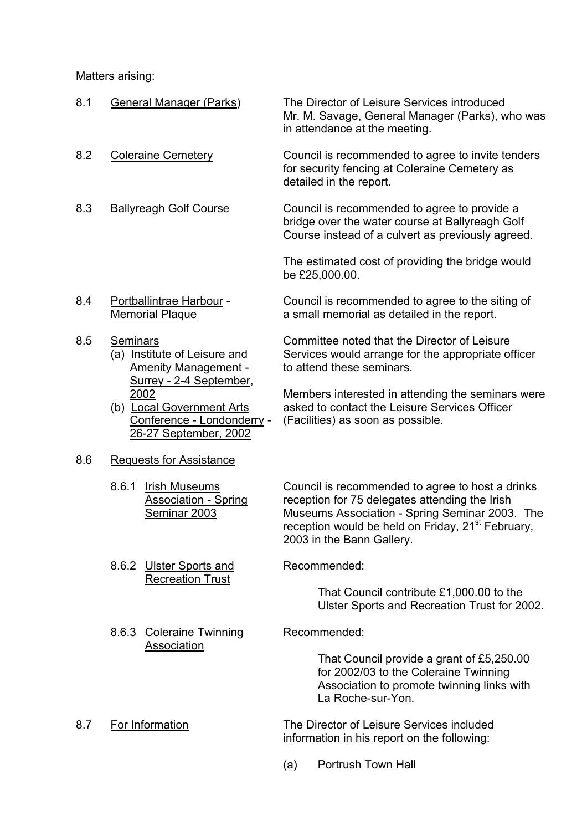Matters arising:

| 8.1 | General Manager (Parks)                                                                                             | The Director of Leisure Services introduced<br>Mr. M. Savage, General Manager (Parks), who was<br>in attendance at the meeting.                                                                                                                    |
|-----|---------------------------------------------------------------------------------------------------------------------|----------------------------------------------------------------------------------------------------------------------------------------------------------------------------------------------------------------------------------------------------|
| 8.2 | <b>Coleraine Cemetery</b>                                                                                           | Council is recommended to agree to invite tenders<br>for security fencing at Coleraine Cemetery as<br>detailed in the report.                                                                                                                      |
| 8.3 | <b>Ballyreagh Golf Course</b>                                                                                       | Council is recommended to agree to provide a<br>bridge over the water course at Ballyreagh Golf<br>Course instead of a culvert as previously agreed.                                                                                               |
|     |                                                                                                                     | The estimated cost of providing the bridge would<br>be £25,000.00.                                                                                                                                                                                 |
| 8.4 | Portballintrae Harbour -<br><b>Memorial Plaque</b>                                                                  | Council is recommended to agree to the siting of<br>a small memorial as detailed in the report.                                                                                                                                                    |
| 8.5 | <b>Seminars</b><br>(a) Institute of Leisure and<br><b>Amenity Management -</b>                                      | Committee noted that the Director of Leisure<br>Services would arrange for the appropriate officer<br>to attend these seminars.                                                                                                                    |
|     | Surrey - 2-4 September,<br>2002<br>(b) Local Government Arts<br>Conference - Londonderry -<br>26-27 September, 2002 | Members interested in attending the seminars were<br>asked to contact the Leisure Services Officer<br>(Facilities) as soon as possible.                                                                                                            |
| 8.6 | <b>Requests for Assistance</b>                                                                                      |                                                                                                                                                                                                                                                    |
|     | 8.6.1<br><b>Irish Museums</b><br><b>Association - Spring</b><br>Seminar 2003                                        | Council is recommended to agree to host a drinks<br>reception for 75 delegates attending the Irish<br>Museums Association - Spring Seminar 2003. The<br>reception would be held on Friday, 21 <sup>st</sup> February,<br>2003 in the Bann Gallery. |
|     | 8.6.2 Ulster Sports and                                                                                             | Recommended:                                                                                                                                                                                                                                       |
|     | <b>Recreation Trust</b>                                                                                             | That Council contribute £1,000.00 to the<br>Ulster Sports and Recreation Trust for 2002.                                                                                                                                                           |
|     | <b>Coleraine Twinning</b><br>8.6.3<br>Association                                                                   | Recommended:                                                                                                                                                                                                                                       |
|     |                                                                                                                     | That Council provide a grant of £5,250.00<br>for 2002/03 to the Coleraine Twinning<br>Association to promote twinning links with<br>La Roche-sur-Yon.                                                                                              |
| 8.7 | For Information                                                                                                     | The Director of Leisure Services included<br>information in his report on the following:                                                                                                                                                           |
|     |                                                                                                                     | <b>Portrush Town Hall</b><br>(a)                                                                                                                                                                                                                   |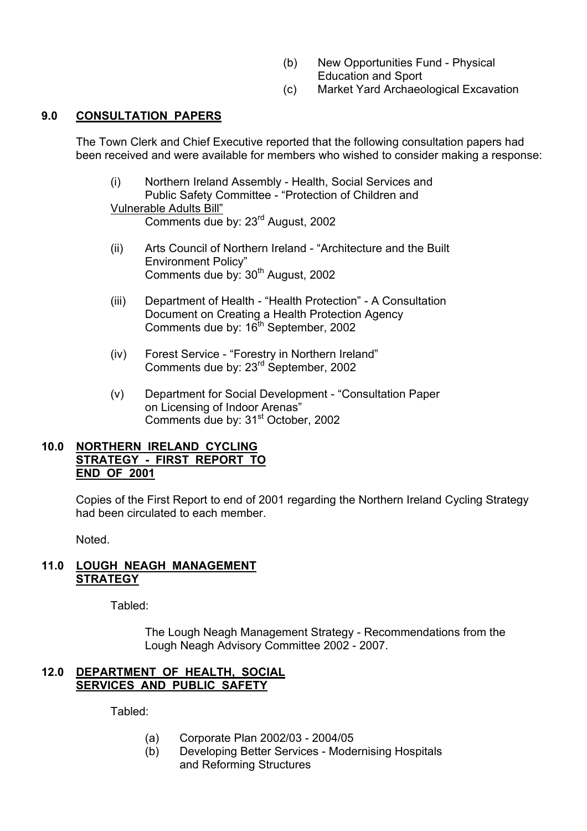- (b) New Opportunities Fund Physical Education and Sport
- (c) Market Yard Archaeological Excavation

# **9.0 CONSULTATION PAPERS**

The Town Clerk and Chief Executive reported that the following consultation papers had been received and were available for members who wished to consider making a response:

 (i) Northern Ireland Assembly - Health, Social Services and Public Safety Committee - "Protection of Children and Vulnerable Adults Bill"

Comments due by: 23rd August, 2002

- (ii) Arts Council of Northern Ireland "Architecture and the Built Environment Policy" Comments due by: 30<sup>th</sup> August, 2002
- (iii) Department of Health "Health Protection" A Consultation Document on Creating a Health Protection Agency Comments due by: 16<sup>th</sup> September, 2002
- (iv) Forest Service "Forestry in Northern Ireland" Comments due by: 23rd September, 2002
- (v) Department for Social Development "Consultation Paper on Licensing of Indoor Arenas" Comments due by: 31<sup>st</sup> October, 2002

## **10.0 NORTHERN IRELAND CYCLING STRATEGY - FIRST REPORT TO END OF 2001**

Copies of the First Report to end of 2001 regarding the Northern Ireland Cycling Strategy had been circulated to each member.

Noted.

## **11.0 LOUGH NEAGH MANAGEMENT STRATEGY**

Tabled:

 The Lough Neagh Management Strategy - Recommendations from the Lough Neagh Advisory Committee 2002 - 2007.

# **12.0 DEPARTMENT OF HEALTH, SOCIAL SERVICES AND PUBLIC SAFETY**

Tabled:

- (a) Corporate Plan 2002/03 2004/05
- (b) Developing Better Services Modernising Hospitals and Reforming Structures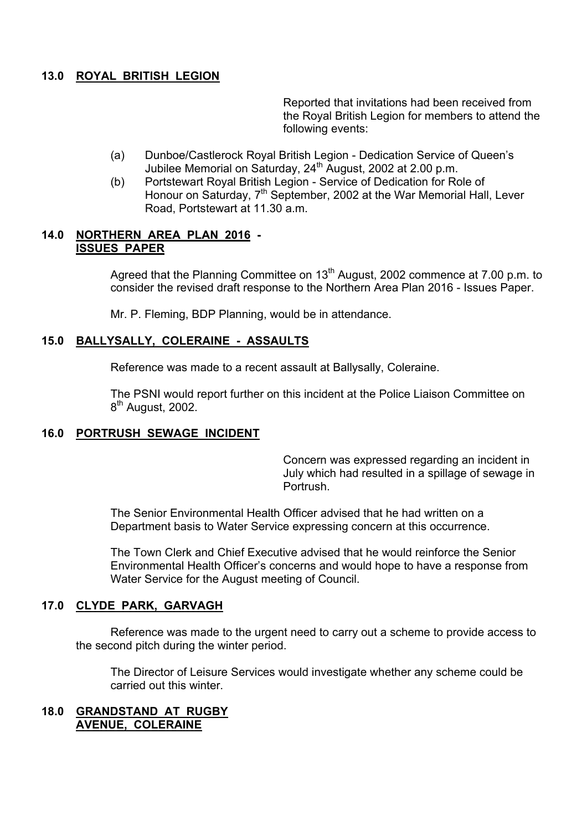## **13.0 ROYAL BRITISH LEGION**

Reported that invitations had been received from the Royal British Legion for members to attend the following events:

- (a) Dunboe/Castlerock Royal British Legion Dedication Service of Queenís Jubilee Memorial on Saturday, 24<sup>th</sup> August, 2002 at 2.00 p.m.
- (b) Portstewart Royal British Legion Service of Dedication for Role of Honour on Saturday, 7<sup>th</sup> September, 2002 at the War Memorial Hall, Lever Road, Portstewart at 11.30 a.m.

## **14.0 NORTHERN AREA PLAN 2016 - ISSUES PAPER**

Agreed that the Planning Committee on 13<sup>th</sup> August, 2002 commence at 7.00 p.m. to consider the revised draft response to the Northern Area Plan 2016 - Issues Paper.

Mr. P. Fleming, BDP Planning, would be in attendance.

## **15.0 BALLYSALLY, COLERAINE - ASSAULTS**

Reference was made to a recent assault at Ballysally, Coleraine.

 The PSNI would report further on this incident at the Police Liaison Committee on 8<sup>th</sup> August, 2002.

#### **16.0 PORTRUSH SEWAGE INCIDENT**

Concern was expressed regarding an incident in July which had resulted in a spillage of sewage in **Portrush** 

The Senior Environmental Health Officer advised that he had written on a Department basis to Water Service expressing concern at this occurrence.

The Town Clerk and Chief Executive advised that he would reinforce the Senior Environmental Health Officerís concerns and would hope to have a response from Water Service for the August meeting of Council.

#### **17.0 CLYDE PARK, GARVAGH**

 Reference was made to the urgent need to carry out a scheme to provide access to the second pitch during the winter period.

 The Director of Leisure Services would investigate whether any scheme could be carried out this winter.

## **18.0 GRANDSTAND AT RUGBY AVENUE, COLERAINE**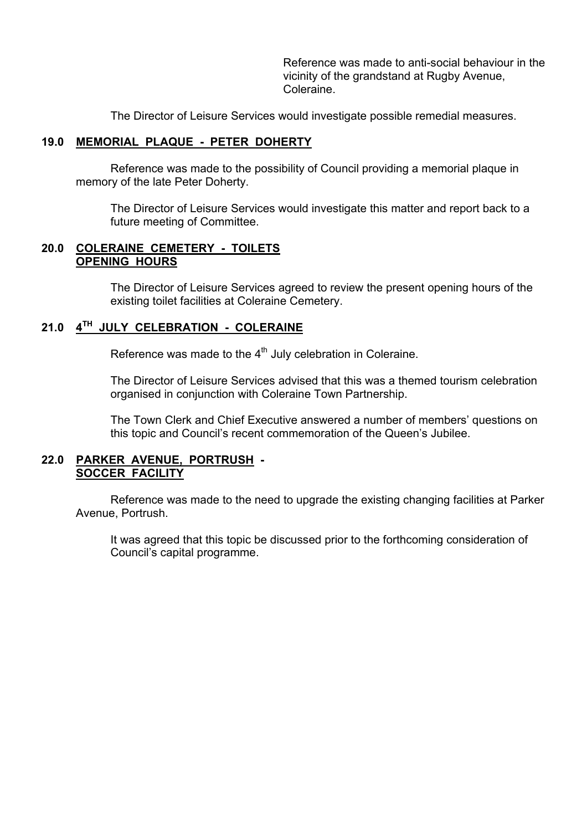Reference was made to anti-social behaviour in the vicinity of the grandstand at Rugby Avenue, Coleraine.

The Director of Leisure Services would investigate possible remedial measures.

## **19.0 MEMORIAL PLAQUE - PETER DOHERTY**

 Reference was made to the possibility of Council providing a memorial plaque in memory of the late Peter Doherty.

 The Director of Leisure Services would investigate this matter and report back to a future meeting of Committee.

## **20.0 COLERAINE CEMETERY - TOILETS OPENING HOURS**

 The Director of Leisure Services agreed to review the present opening hours of the existing toilet facilities at Coleraine Cemetery.

# **21.0 4TH JULY CELEBRATION - COLERAINE**

Reference was made to the  $4<sup>th</sup>$  July celebration in Coleraine.

The Director of Leisure Services advised that this was a themed tourism celebration organised in conjunction with Coleraine Town Partnership.

The Town Clerk and Chief Executive answered a number of members' questions on this topic and Councilís recent commemoration of the Queenís Jubilee.

## **22.0 PARKER AVENUE, PORTRUSH - SOCCER FACILITY**

 Reference was made to the need to upgrade the existing changing facilities at Parker Avenue, Portrush.

 It was agreed that this topic be discussed prior to the forthcoming consideration of Council's capital programme.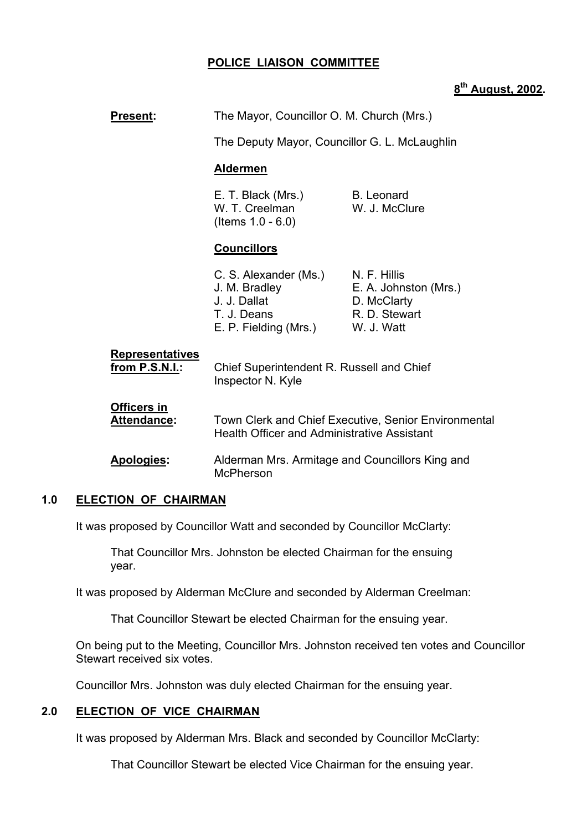## **POLICE LIAISON COMMITTEE**

# **8th August, 2002.**

| Present:                                 | The Mayor, Councillor O. M. Church (Mrs.)                                                                  |                                                                                     |
|------------------------------------------|------------------------------------------------------------------------------------------------------------|-------------------------------------------------------------------------------------|
|                                          | The Deputy Mayor, Councillor G. L. McLaughlin                                                              |                                                                                     |
|                                          | <b>Aldermen</b>                                                                                            |                                                                                     |
|                                          | E. T. Black (Mrs.)<br>W. T. Creelman<br>(Items $1.0 - 6.0$ )                                               | <b>B.</b> Leonard<br>W. J. McClure                                                  |
|                                          | <b>Councillors</b>                                                                                         |                                                                                     |
|                                          | C. S. Alexander (Ms.)<br>J. M. Bradley<br>J. J. Dallat<br>T. J. Deans<br>E. P. Fielding (Mrs.)             | N. F. Hillis<br>E. A. Johnston (Mrs.)<br>D. McClarty<br>R. D. Stewart<br>W. J. Watt |
| <b>Representatives</b><br>from P.S.N.I.: | Chief Superintendent R. Russell and Chief<br>Inspector N. Kyle                                             |                                                                                     |
| <b>Officers in</b><br>Attendance:        | Town Clerk and Chief Executive, Senior Environmental<br><b>Health Officer and Administrative Assistant</b> |                                                                                     |
| Apologies:                               | Alderman Mrs. Armitage and Councillors King and<br><b>McPherson</b>                                        |                                                                                     |

## **1.0 ELECTION OF CHAIRMAN**

It was proposed by Councillor Watt and seconded by Councillor McClarty:

 That Councillor Mrs. Johnston be elected Chairman for the ensuing year.

It was proposed by Alderman McClure and seconded by Alderman Creelman:

That Councillor Stewart be elected Chairman for the ensuing year.

 On being put to the Meeting, Councillor Mrs. Johnston received ten votes and Councillor Stewart received six votes.

Councillor Mrs. Johnston was duly elected Chairman for the ensuing year.

#### **2.0 ELECTION OF VICE CHAIRMAN**

It was proposed by Alderman Mrs. Black and seconded by Councillor McClarty:

That Councillor Stewart be elected Vice Chairman for the ensuing year.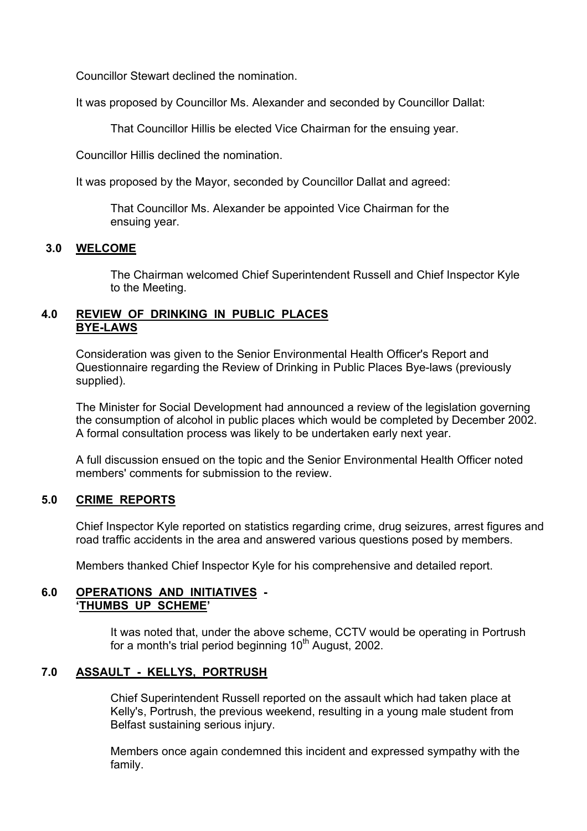Councillor Stewart declined the nomination.

It was proposed by Councillor Ms. Alexander and seconded by Councillor Dallat:

That Councillor Hillis be elected Vice Chairman for the ensuing year.

Councillor Hillis declined the nomination.

It was proposed by the Mayor, seconded by Councillor Dallat and agreed:

 That Councillor Ms. Alexander be appointed Vice Chairman for the ensuing year.

## **3.0 WELCOME**

 The Chairman welcomed Chief Superintendent Russell and Chief Inspector Kyle to the Meeting.

## **4.0 REVIEW OF DRINKING IN PUBLIC PLACES BYE-LAWS**

 Consideration was given to the Senior Environmental Health Officer's Report and Questionnaire regarding the Review of Drinking in Public Places Bye-laws (previously supplied).

 The Minister for Social Development had announced a review of the legislation governing the consumption of alcohol in public places which would be completed by December 2002. A formal consultation process was likely to be undertaken early next year.

 A full discussion ensued on the topic and the Senior Environmental Health Officer noted members' comments for submission to the review.

## **5.0 CRIME REPORTS**

 Chief Inspector Kyle reported on statistics regarding crime, drug seizures, arrest figures and road traffic accidents in the area and answered various questions posed by members.

Members thanked Chief Inspector Kyle for his comprehensive and detailed report.

## **6.0 OPERATIONS AND INITIATIVES - 'THUMBS UP SCHEME'**

 It was noted that, under the above scheme, CCTV would be operating in Portrush for a month's trial period beginning  $10<sup>th</sup>$  August, 2002.

## **7.0 ASSAULT - KELLYS, PORTRUSH**

 Chief Superintendent Russell reported on the assault which had taken place at Kelly's, Portrush, the previous weekend, resulting in a young male student from Belfast sustaining serious injury.

 Members once again condemned this incident and expressed sympathy with the family.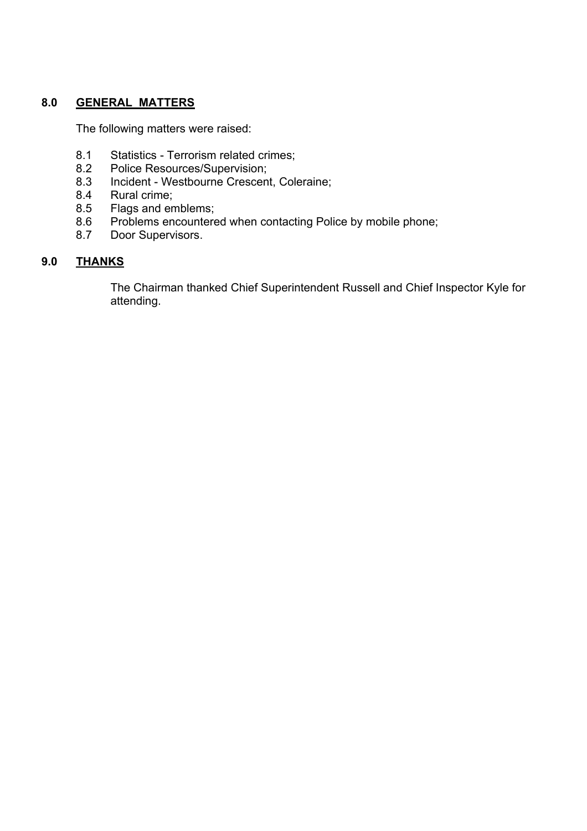## **8.0 GENERAL MATTERS**

The following matters were raised:

- 8.1 Statistics Terrorism related crimes;<br>8.2 Police Resources/Supervision:
- 8.2 Police Resources/Supervision;<br>8.3 Incident Westbourne Crescen
- Incident Westbourne Crescent, Coleraine;
- 8.4 Rural crime;
- 8.5 Flags and emblems;
- 8.6 Problems encountered when contacting Police by mobile phone;
- 8.7 Door Supervisors.

# **9.0 THANKS**

 The Chairman thanked Chief Superintendent Russell and Chief Inspector Kyle for attending.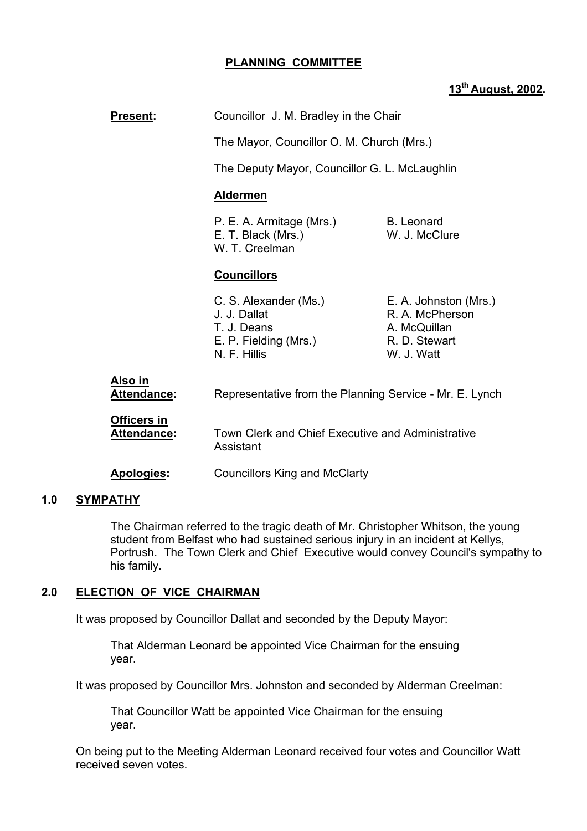## **PLANNING COMMITTEE**

# **13th August, 2002.**

| <b>Present:</b>                   | Councillor J. M. Bradley in the Chair                                                                                                                             |                                                                                         |
|-----------------------------------|-------------------------------------------------------------------------------------------------------------------------------------------------------------------|-----------------------------------------------------------------------------------------|
|                                   | The Mayor, Councillor O. M. Church (Mrs.)                                                                                                                         |                                                                                         |
|                                   | The Deputy Mayor, Councillor G. L. McLaughlin                                                                                                                     |                                                                                         |
|                                   | <b>Aldermen</b>                                                                                                                                                   |                                                                                         |
|                                   | P. E. A. Armitage (Mrs.)<br>E. T. Black (Mrs.)<br>W. T. Creelman                                                                                                  | <b>B.</b> Leonard<br>W. J. McClure                                                      |
|                                   | <b>Councillors</b>                                                                                                                                                |                                                                                         |
|                                   | C. S. Alexander (Ms.)<br>J. J. Dallat<br>T. J. Deans<br>E. P. Fielding (Mrs.)<br>N. F. Hillis                                                                     | E. A. Johnston (Mrs.)<br>R. A. McPherson<br>A. McQuillan<br>R. D. Stewart<br>W. J. Watt |
| <u>Also in</u><br>Attendance:     | Representative from the Planning Service - Mr. E. Lynch<br>Town Clerk and Chief Executive and Administrative<br>Assistant<br><b>Councillors King and McClarty</b> |                                                                                         |
| <b>Officers in</b><br>Attendance: |                                                                                                                                                                   |                                                                                         |
| Apologies:                        |                                                                                                                                                                   |                                                                                         |

#### **1.0 SYMPATHY**

The Chairman referred to the tragic death of Mr. Christopher Whitson, the young student from Belfast who had sustained serious injury in an incident at Kellys, Portrush. The Town Clerk and Chief Executive would convey Council's sympathy to his family.

## **2.0 ELECTION OF VICE CHAIRMAN**

It was proposed by Councillor Dallat and seconded by the Deputy Mayor:

 That Alderman Leonard be appointed Vice Chairman for the ensuing year.

It was proposed by Councillor Mrs. Johnston and seconded by Alderman Creelman:

 That Councillor Watt be appointed Vice Chairman for the ensuing year.

 On being put to the Meeting Alderman Leonard received four votes and Councillor Watt received seven votes.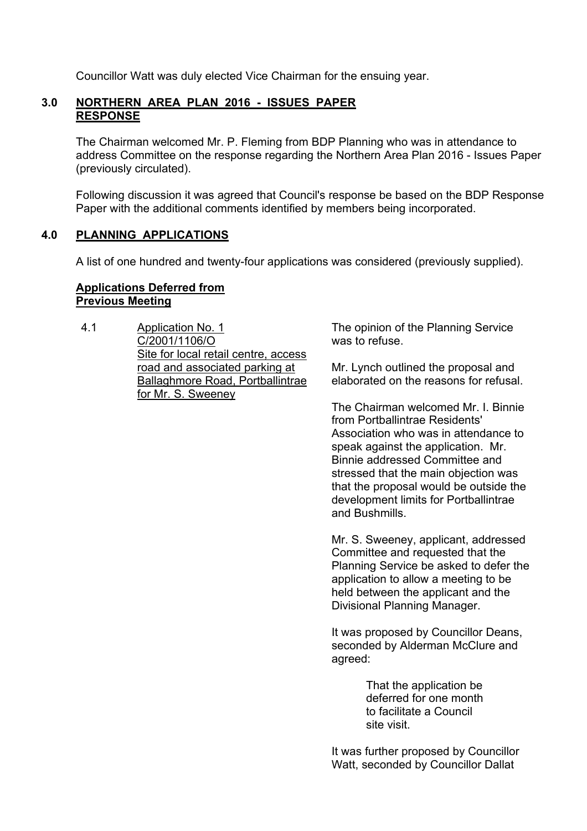Councillor Watt was duly elected Vice Chairman for the ensuing year.

#### **3.0 NORTHERN AREA PLAN 2016 - ISSUES PAPER RESPONSE**

 The Chairman welcomed Mr. P. Fleming from BDP Planning who was in attendance to address Committee on the response regarding the Northern Area Plan 2016 - Issues Paper (previously circulated).

 Following discussion it was agreed that Council's response be based on the BDP Response Paper with the additional comments identified by members being incorporated.

#### **4.0 PLANNING APPLICATIONS**

A list of one hundred and twenty-four applications was considered (previously supplied).

#### **Applications Deferred from Previous Meeting**

4.1 Application No. 1 C/2001/1106/O Site for local retail centre, access road and associated parking at Ballaghmore Road, Portballintrae for Mr. S. Sweeney

The opinion of the Planning Service was to refuse.

Mr. Lynch outlined the proposal and elaborated on the reasons for refusal.

The Chairman welcomed Mr. I. Binnie from Portballintrae Residents' Association who was in attendance to speak against the application. Mr. Binnie addressed Committee and stressed that the main objection was that the proposal would be outside the development limits for Portballintrae and Bushmills.

Mr. S. Sweeney, applicant, addressed Committee and requested that the Planning Service be asked to defer the application to allow a meeting to be held between the applicant and the Divisional Planning Manager.

It was proposed by Councillor Deans, seconded by Alderman McClure and agreed:

> That the application be deferred for one month to facilitate a Council site visit.

It was further proposed by Councillor Watt, seconded by Councillor Dallat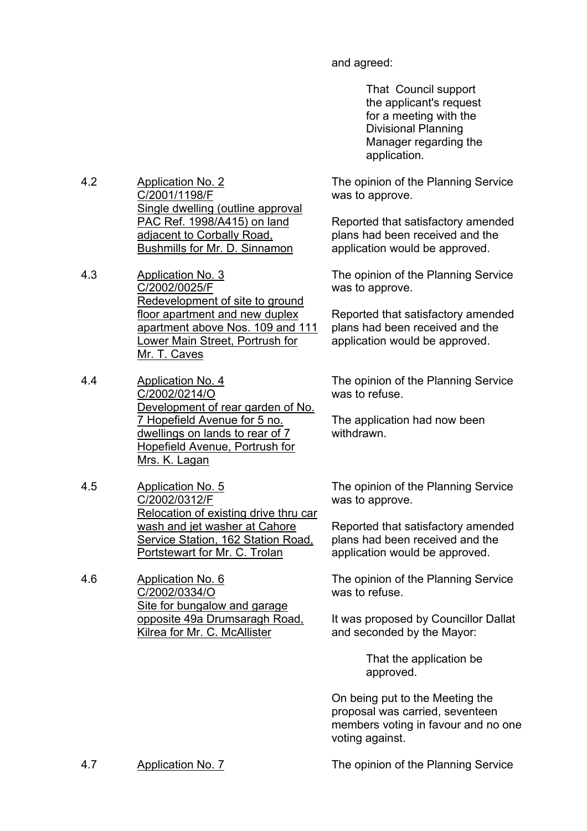and agreed:

 That Council support the applicant's request for a meeting with the Divisional Planning Manager regarding the application.

The opinion of the Planning Service was to approve.

Reported that satisfactory amended plans had been received and the application would be approved.

The opinion of the Planning Service was to approve.

Reported that satisfactory amended plans had been received and the application would be approved.

The opinion of the Planning Service was to refuse.

The application had now been withdrawn.

The opinion of the Planning Service was to approve.

Reported that satisfactory amended plans had been received and the application would be approved.

The opinion of the Planning Service was to refuse.

It was proposed by Councillor Dallat and seconded by the Mayor:

> That the application be approved.

On being put to the Meeting the proposal was carried, seventeen members voting in favour and no one voting against.

4.2 Application No. 2 C/2001/1198/F Single dwelling (outline approval PAC Ref. 1998/A415) on land adjacent to Corbally Road, Bushmills for Mr. D. Sinnamon

4.3 Application No. 3 C/2002/0025/F Redevelopment of site to ground floor apartment and new duplex apartment above Nos. 109 and 111 Lower Main Street, Portrush for Mr. T. Caves

4.4 Application No. 4 C/2002/0214/O Development of rear garden of No. 7 Hopefield Avenue for 5 no. dwellings on lands to rear of 7 Hopefield Avenue, Portrush for Mrs. K. Lagan

4.5 Application No. 5 C/2002/0312/F Relocation of existing drive thru car wash and jet washer at Cahore Service Station, 162 Station Road, Portstewart for Mr. C. Trolan

4.6 Application No. 6 C/2002/0334/O Site for bungalow and garage opposite 49a Drumsaragh Road, Kilrea for Mr. C. McAllister

4.7 Application No. 7 The opinion of the Planning Service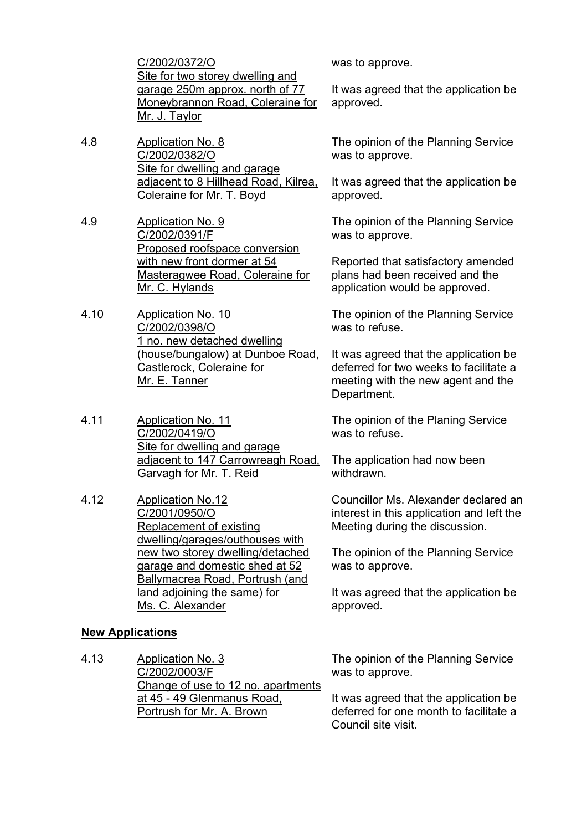C/2002/0372/O Site for two storey dwelling and garage 250m approx. north of 77 Moneybrannon Road, Coleraine for Mr. J. Taylor

- 4.8 Application No. 8 C/2002/0382/O Site for dwelling and garage adjacent to 8 Hillhead Road, Kilrea, Coleraine for Mr. T. Boyd
- 4.9 Application No. 9 C/2002/0391/F Proposed roofspace conversion with new front dormer at 54 Masteragwee Road, Coleraine for Mr. C. Hylands
- 4.10 Application No. 10 C/2002/0398/O 1 no. new detached dwelling (house/bungalow) at Dunboe Road, Castlerock, Coleraine for Mr. E. Tanner
- 4.11 Application No. 11 C/2002/0419/O Site for dwelling and garage adjacent to 147 Carrowreagh Road, Garvagh for Mr. T. Reid
- 4.12 Application No.12 C/2001/0950/O Replacement of existing dwelling/garages/outhouses with new two storey dwelling/detached garage and domestic shed at 52 Ballymacrea Road, Portrush (and land adjoining the same) for Ms. C. Alexander

## **New Applications**

4.13 Application No. 3 C/2002/0003/F Change of use to 12 no. apartments at 45 - 49 Glenmanus Road, Portrush for Mr. A. Brown

was to approve.

It was agreed that the application be approved.

The opinion of the Planning Service was to approve.

It was agreed that the application be approved.

The opinion of the Planning Service was to approve.

Reported that satisfactory amended plans had been received and the application would be approved.

The opinion of the Planning Service was to refuse.

It was agreed that the application be deferred for two weeks to facilitate a meeting with the new agent and the Department.

The opinion of the Planing Service was to refuse.

The application had now been withdrawn.

Councillor Ms. Alexander declared an interest in this application and left the Meeting during the discussion.

The opinion of the Planning Service was to approve.

It was agreed that the application be approved.

The opinion of the Planning Service was to approve.

It was agreed that the application be deferred for one month to facilitate a Council site visit.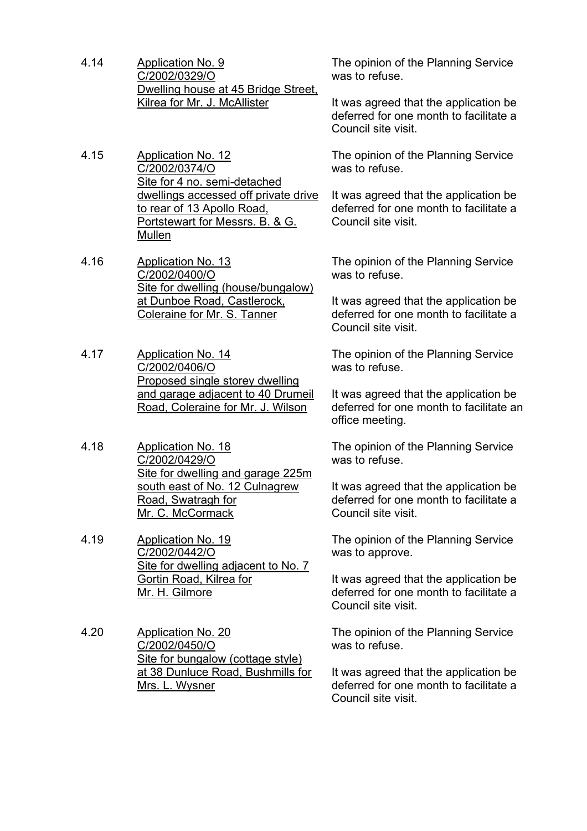- 4.14 Application No. 9 C/2002/0329/O Dwelling house at 45 Bridge Street, Kilrea for Mr. J. McAllister
- 4.15 Application No. 12 C/2002/0374/O Site for 4 no. semi-detached dwellings accessed off private drive to rear of 13 Apollo Road, Portstewart for Messrs. B. & G. Mullen
- 4.16 Application No. 13 C/2002/0400/O Site for dwelling (house/bungalow) at Dunboe Road, Castlerock, Coleraine for Mr. S. Tanner
- 4.17 Application No. 14 C/2002/0406/O Proposed single storey dwelling and garage adjacent to 40 Drumeil Road, Coleraine for Mr. J. Wilson
- 4.18 Application No. 18 C/2002/0429/O Site for dwelling and garage 225m south east of No. 12 Culnagrew Road, Swatragh for Mr. C. McCormack
- 4.19 Application No. 19 C/2002/0442/O Site for dwelling adjacent to No. 7 Gortin Road, Kilrea for Mr. H. Gilmore
- 4.20 Application No. 20 C/2002/0450/O Site for bungalow (cottage style) at 38 Dunluce Road, Bushmills for Mrs. L. Wysner

The opinion of the Planning Service was to refuse.

It was agreed that the application be deferred for one month to facilitate a Council site visit.

The opinion of the Planning Service was to refuse.

It was agreed that the application be deferred for one month to facilitate a Council site visit.

The opinion of the Planning Service was to refuse.

It was agreed that the application be deferred for one month to facilitate a Council site visit.

The opinion of the Planning Service was to refuse.

It was agreed that the application be deferred for one month to facilitate an office meeting.

The opinion of the Planning Service was to refuse.

It was agreed that the application be deferred for one month to facilitate a Council site visit.

The opinion of the Planning Service was to approve.

It was agreed that the application be deferred for one month to facilitate a Council site visit.

The opinion of the Planning Service was to refuse.

It was agreed that the application be deferred for one month to facilitate a Council site visit.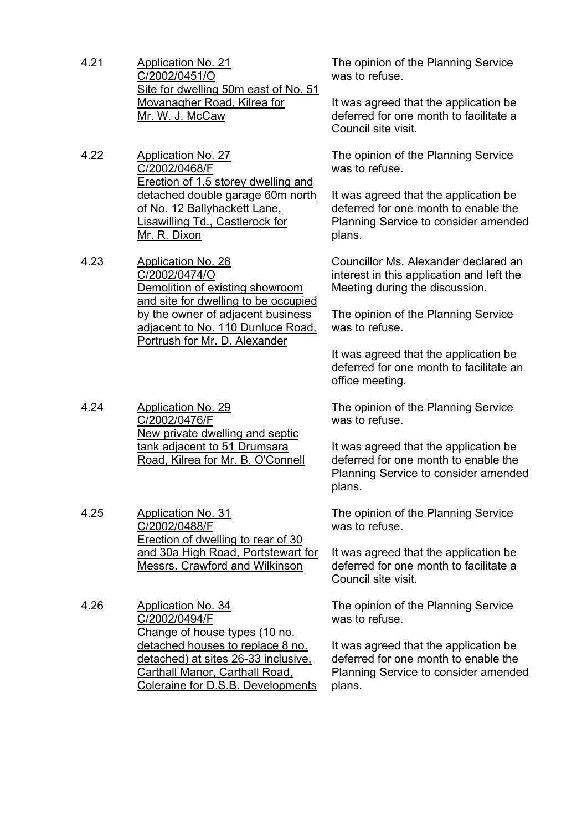- 4.21 Application No. 21 C/2002/0451/O Site for dwelling 50m east of No. 51 Movanagher Road, Kilrea for Mr. W. J. McCaw
- 4.22 Application No. 27 C/2002/0468/F Erection of 1.5 storey dwelling and detached double garage 60m north of No. 12 Ballyhackett Lane, Lisawilling Td., Castlerock for Mr. R. Dixon
- 4.23 Application No. 28 C/2002/0474/O Demolition of existing showroom and site for dwelling to be occupied by the owner of adjacent business adjacent to No. 110 Dunluce Road, Portrush for Mr. D. Alexander
- 4.24 Application No. 29 C/2002/0476/F New private dwelling and septic tank adjacent to 51 Drumsara Road, Kilrea for Mr. B. O'Connell
- 4.25 Application No. 31 C/2002/0488/F Erection of dwelling to rear of 30 and 30a High Road, Portstewart for Messrs. Crawford and Wilkinson
- 4.26 Application No. 34 C/2002/0494/F Change of house types (10 no. detached houses to replace 8 no. detached) at sites 26-33 inclusive, Carthall Manor, Carthall Road, Coleraine for D.S.B. Developments

The opinion of the Planning Service was to refuse.

It was agreed that the application be deferred for one month to facilitate a Council site visit.

The opinion of the Planning Service was to refuse.

It was agreed that the application be deferred for one month to enable the Planning Service to consider amended plans.

Councillor Ms. Alexander declared an interest in this application and left the Meeting during the discussion.

The opinion of the Planning Service was to refuse.

It was agreed that the application be deferred for one month to facilitate an office meeting.

The opinion of the Planning Service was to refuse.

It was agreed that the application be deferred for one month to enable the Planning Service to consider amended plans.

The opinion of the Planning Service was to refuse.

It was agreed that the application be deferred for one month to facilitate a Council site visit.

The opinion of the Planning Service was to refuse.

It was agreed that the application be deferred for one month to enable the Planning Service to consider amended plans.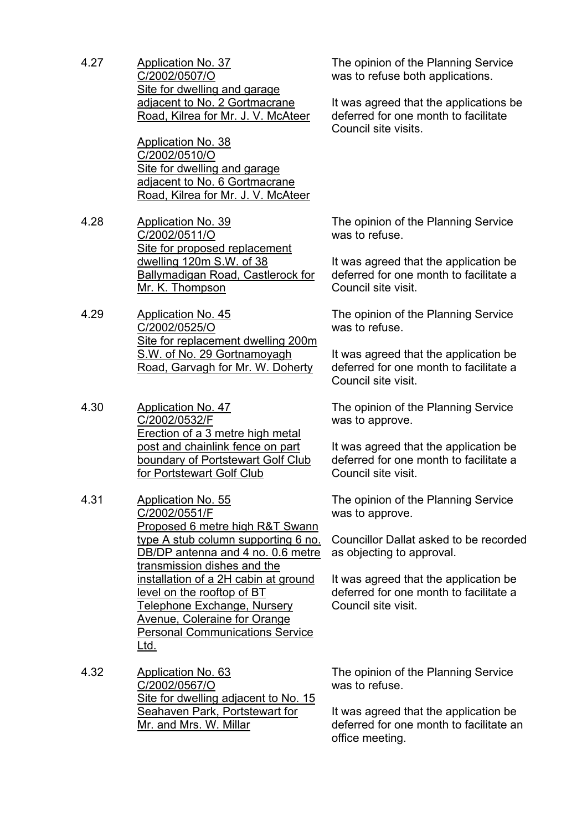4.27 Application No. 37 C/2002/0507/O Site for dwelling and garage adjacent to No. 2 Gortmacrane Road, Kilrea for Mr. J. V. McAteer

> Application No. 38 C/2002/0510/O Site for dwelling and garage adjacent to No. 6 Gortmacrane Road, Kilrea for Mr. J. V. McAteer

- 4.28 Application No. 39 C/2002/0511/O Site for proposed replacement dwelling 120m S.W. of 38 Ballymadigan Road, Castlerock for Mr. K. Thompson
- 4.29 Application No. 45 C/2002/0525/O Site for replacement dwelling 200m S.W. of No. 29 Gortnamoyagh Road, Garvagh for Mr. W. Doherty
- 4.30 Application No. 47 C/2002/0532/F Erection of a 3 metre high metal post and chainlink fence on part boundary of Portstewart Golf Club for Portstewart Golf Club
- 4.31 Application No. 55 C/2002/0551/F Proposed 6 metre high R&T Swann type A stub column supporting 6 no. DB/DP antenna and 4 no. 0.6 metre transmission dishes and the installation of a 2H cabin at ground level on the rooftop of BT Telephone Exchange, Nursery Avenue, Coleraine for Orange Personal Communications Service Ltd.
- 4.32 Application No. 63 C/2002/0567/O Site for dwelling adjacent to No. 15 Seahaven Park, Portstewart for Mr. and Mrs. W. Millar

The opinion of the Planning Service was to refuse both applications.

It was agreed that the applications be deferred for one month to facilitate Council site visits.

The opinion of the Planning Service was to refuse.

It was agreed that the application be deferred for one month to facilitate a Council site visit.

The opinion of the Planning Service was to refuse.

It was agreed that the application be deferred for one month to facilitate a Council site visit.

The opinion of the Planning Service was to approve.

It was agreed that the application be deferred for one month to facilitate a Council site visit.

The opinion of the Planning Service was to approve.

Councillor Dallat asked to be recorded as objecting to approval.

It was agreed that the application be deferred for one month to facilitate a Council site visit.

The opinion of the Planning Service was to refuse.

It was agreed that the application be deferred for one month to facilitate an office meeting.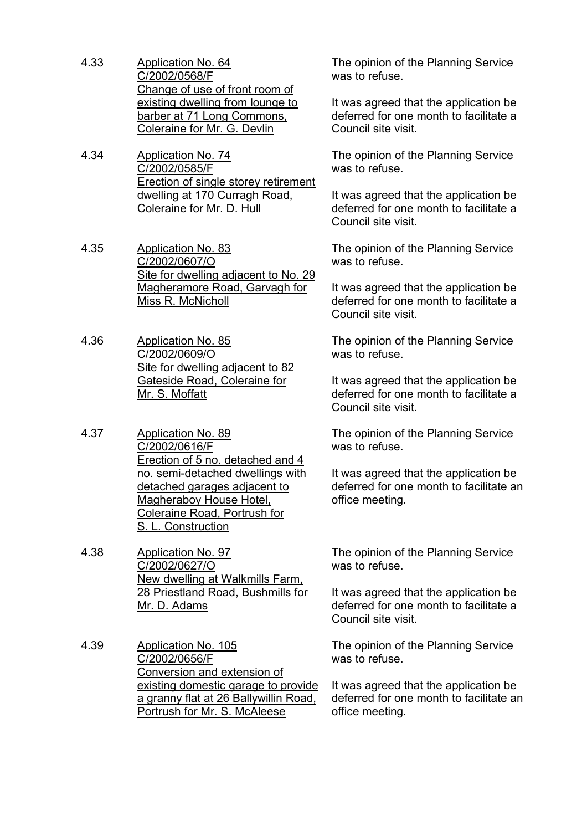- 4.33 Application No. 64 C/2002/0568/F Change of use of front room of existing dwelling from lounge to barber at 71 Long Commons, Coleraine for Mr. G. Devlin
- 4.34 Application No. 74 C/2002/0585/F Erection of single storey retirement dwelling at 170 Curragh Road, Coleraine for Mr. D. Hull
- 4.35 Application No. 83 C/2002/0607/O Site for dwelling adjacent to No. 29 Magheramore Road, Garvagh for Miss R. McNicholl
- 4.36 Application No. 85 C/2002/0609/O Site for dwelling adjacent to 82 Gateside Road, Coleraine for Mr. S. Moffatt
- 4.37 Application No. 89 C/2002/0616/F Erection of 5 no. detached and 4 no. semi-detached dwellings with detached garages adjacent to Magheraboy House Hotel, Coleraine Road, Portrush for S. L. Construction
- 4.38 Application No. 97 C/2002/0627/O New dwelling at Walkmills Farm, 28 Priestland Road, Bushmills for Mr. D. Adams
- 4.39 Application No. 105 C/2002/0656/F Conversion and extension of existing domestic garage to provide a granny flat at 26 Ballywillin Road, Portrush for Mr. S. McAleese

The opinion of the Planning Service was to refuse.

It was agreed that the application be deferred for one month to facilitate a Council site visit.

The opinion of the Planning Service was to refuse.

It was agreed that the application be deferred for one month to facilitate a Council site visit.

The opinion of the Planning Service was to refuse.

It was agreed that the application be deferred for one month to facilitate a Council site visit.

The opinion of the Planning Service was to refuse.

It was agreed that the application be deferred for one month to facilitate a Council site visit.

The opinion of the Planning Service was to refuse.

It was agreed that the application be deferred for one month to facilitate an office meeting.

The opinion of the Planning Service was to refuse.

It was agreed that the application be deferred for one month to facilitate a Council site visit.

The opinion of the Planning Service was to refuse.

It was agreed that the application be deferred for one month to facilitate an office meeting.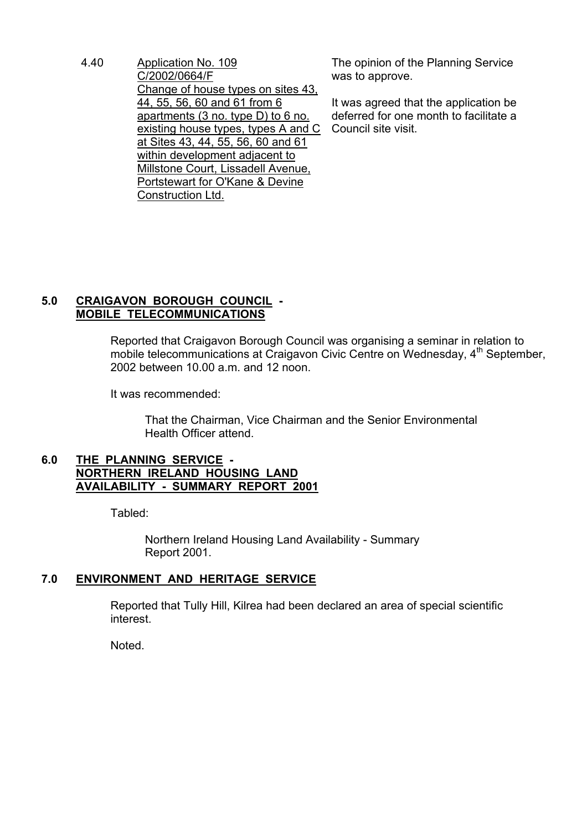4.40 Application No. 109 C/2002/0664/F Change of house types on sites 43, 44, 55, 56, 60 and 61 from 6 apartments (3 no. type D) to 6 no. existing house types, types A and C at Sites 43, 44, 55, 56, 60 and 61 within development adjacent to Millstone Court, Lissadell Avenue, Portstewart for O'Kane & Devine Construction Ltd.

The opinion of the Planning Service was to approve.

It was agreed that the application be deferred for one month to facilitate a Council site visit.

# **5.0 CRAIGAVON BOROUGH COUNCIL - MOBILE TELECOMMUNICATIONS**

 Reported that Craigavon Borough Council was organising a seminar in relation to mobile telecommunications at Craigavon Civic Centre on Wednesday, 4<sup>th</sup> September, 2002 between 10.00 a.m. and 12 noon.

It was recommended:

 That the Chairman, Vice Chairman and the Senior Environmental Health Officer attend.

## **6.0 THE PLANNING SERVICE - NORTHERN IRELAND HOUSING LAND AVAILABILITY - SUMMARY REPORT 2001**

Tabled:

 Northern Ireland Housing Land Availability - Summary Report 2001.

# **7.0 ENVIRONMENT AND HERITAGE SERVICE**

 Reported that Tully Hill, Kilrea had been declared an area of special scientific interest.

Noted.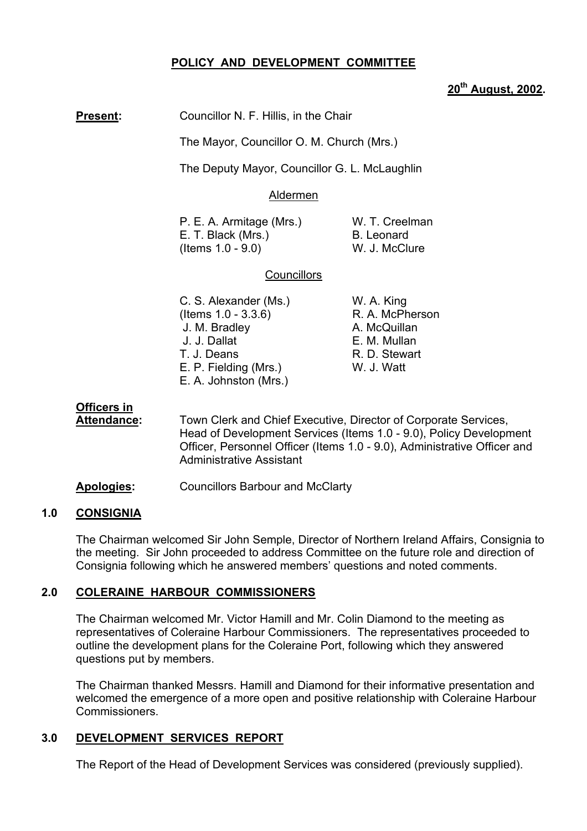## **POLICY AND DEVELOPMENT COMMITTEE**

## **20th August, 2002.**

**Present:** Councillor N. F. Hillis, in the Chair

The Mayor, Councillor O. M. Church (Mrs.)

The Deputy Mayor, Councillor G. L. McLaughlin

#### Aldermen

P. E. A. Armitage (Mrs.) W. T. Creelman E. T. Black (Mrs.) B. Leonard (Items 1.0 - 9.0) W. J. McClure

R. D. Stewart

## **Councillors**

- C. S. Alexander (Ms.) W. A. King (Items 1.0 - 3.3.6) R. A. McPherson J. M. Bradley **A. McQuillan**  J. J. Dallat E. M. Mullan E. P. Fielding (Mrs.) W. J. Watt E. A. Johnston (Mrs.)
- **Officers in**
- **Attendance:** Town Clerk and Chief Executive, Director of Corporate Services, Head of Development Services (Items 1.0 - 9.0), Policy Development Officer, Personnel Officer (Items 1.0 - 9.0), Administrative Officer and Administrative Assistant
- **Apologies:** Councillors Barbour and McClarty

#### **1.0 CONSIGNIA**

The Chairman welcomed Sir John Semple, Director of Northern Ireland Affairs, Consignia to the meeting. Sir John proceeded to address Committee on the future role and direction of Consignia following which he answered members' questions and noted comments.

## **2.0 COLERAINE HARBOUR COMMISSIONERS**

The Chairman welcomed Mr. Victor Hamill and Mr. Colin Diamond to the meeting as representatives of Coleraine Harbour Commissioners. The representatives proceeded to outline the development plans for the Coleraine Port, following which they answered questions put by members.

The Chairman thanked Messrs. Hamill and Diamond for their informative presentation and welcomed the emergence of a more open and positive relationship with Coleraine Harbour Commissioners.

## **3.0 DEVELOPMENT SERVICES REPORT**

The Report of the Head of Development Services was considered (previously supplied).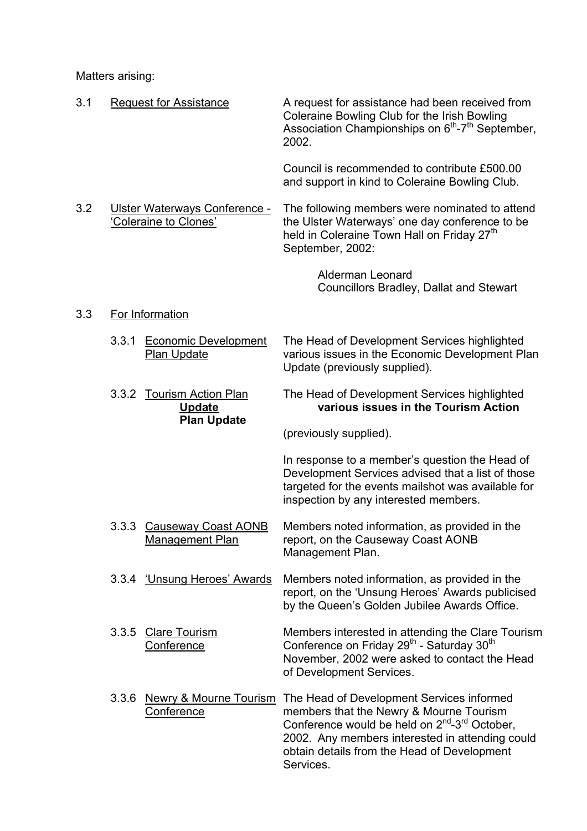Matters arising:

| 3.1 |       | <b>Request for Assistance</b>                                    | A request for assistance had been received from<br>Coleraine Bowling Club for the Irish Bowling<br>Association Championships on 6 <sup>th</sup> -7 <sup>th</sup> September,<br>2002.                                                                                  |
|-----|-------|------------------------------------------------------------------|-----------------------------------------------------------------------------------------------------------------------------------------------------------------------------------------------------------------------------------------------------------------------|
|     |       |                                                                  | Council is recommended to contribute £500.00<br>and support in kind to Coleraine Bowling Club.                                                                                                                                                                        |
| 3.2 |       | Ulster Waterways Conference -<br>'Coleraine to Clones'           | The following members were nominated to attend<br>the Ulster Waterways' one day conference to be<br>held in Coleraine Town Hall on Friday 27 <sup>th</sup><br>September, 2002:                                                                                        |
|     |       |                                                                  | <b>Alderman Leonard</b><br><b>Councillors Bradley, Dallat and Stewart</b>                                                                                                                                                                                             |
| 3.3 |       | For Information                                                  |                                                                                                                                                                                                                                                                       |
|     | 3.3.1 | <b>Economic Development</b><br>Plan Update                       | The Head of Development Services highlighted<br>various issues in the Economic Development Plan<br>Update (previously supplied).                                                                                                                                      |
|     |       | 3.3.2 Tourism Action Plan<br><b>Update</b><br><b>Plan Update</b> | The Head of Development Services highlighted<br>various issues in the Tourism Action                                                                                                                                                                                  |
|     |       |                                                                  | (previously supplied).                                                                                                                                                                                                                                                |
|     |       |                                                                  | In response to a member's question the Head of<br>Development Services advised that a list of those<br>targeted for the events mailshot was available for<br>inspection by any interested members.                                                                    |
|     | 3.3.3 | <b>Causeway Coast AONB</b><br>Management Plan                    | Members noted information, as provided in the<br>report, on the Causeway Coast AONB<br>Management Plan.                                                                                                                                                               |
|     |       | 3.3.4 'Unsung Heroes' Awards                                     | Members noted information, as provided in the<br>report, on the 'Unsung Heroes' Awards publicised<br>by the Queen's Golden Jubilee Awards Office.                                                                                                                     |
|     | 3.3.5 | <b>Clare Tourism</b><br>Conference                               | Members interested in attending the Clare Tourism<br>Conference on Friday 29 <sup>th</sup> - Saturday 30 <sup>th</sup><br>November, 2002 were asked to contact the Head<br>of Development Services.                                                                   |
|     | 3.3.6 | <b>Newry &amp; Mourne Tourism</b><br>Conference                  | The Head of Development Services informed<br>members that the Newry & Mourne Tourism<br>Conference would be held on $2^{nd}$ -3 <sup>rd</sup> October,<br>2002. Any members interested in attending could<br>obtain details from the Head of Development<br>Services. |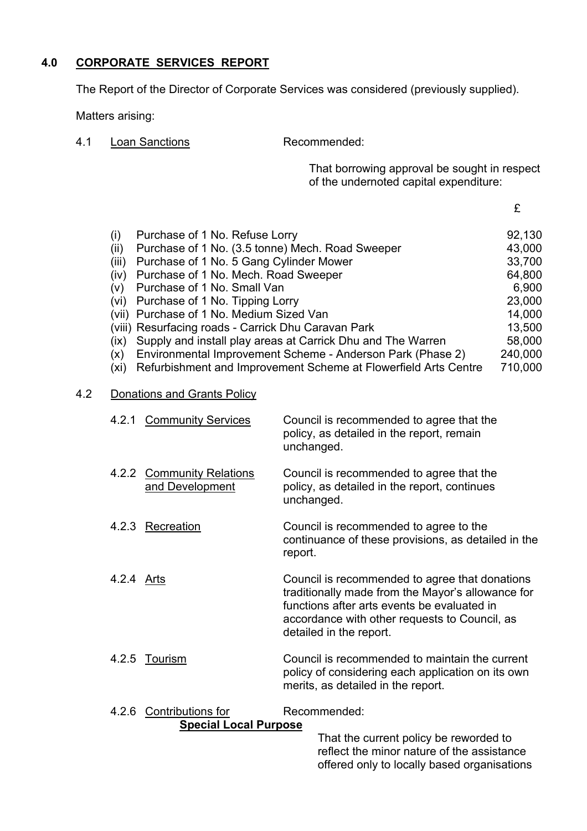# **4.0 CORPORATE SERVICES REPORT**

The Report of the Director of Corporate Services was considered (previously supplied).

Matters arising:

4.1 Loan Sanctions Recommended:

That borrowing approval be sought in respect of the undernoted capital expenditure:

£

| (i)   | Purchase of 1 No. Refuse Lorry                                  | 92,130  |
|-------|-----------------------------------------------------------------|---------|
| (ii)  | Purchase of 1 No. (3.5 tonne) Mech. Road Sweeper                | 43,000  |
| (iii) | Purchase of 1 No. 5 Gang Cylinder Mower                         | 33,700  |
| (iv)  | Purchase of 1 No. Mech. Road Sweeper                            | 64,800  |
| (v)   | Purchase of 1 No. Small Van                                     | 6,900   |
| (vi)  | Purchase of 1 No. Tipping Lorry                                 | 23,000  |
|       | (vii) Purchase of 1 No. Medium Sized Van                        | 14,000  |
|       | (viii) Resurfacing roads - Carrick Dhu Caravan Park             | 13,500  |
| (ix)  | Supply and install play areas at Carrick Dhu and The Warren     | 58,000  |
| (x)   | Environmental Improvement Scheme - Anderson Park (Phase 2)      | 240,000 |
| (xi)  | Refurbishment and Improvement Scheme at Flowerfield Arts Centre | 710,000 |

## 4.2 Donations and Grants Policy

| 4.2.1 Community Services                         | Council is recommended to agree that the<br>policy, as detailed in the report, remain<br>unchanged.      |
|--------------------------------------------------|----------------------------------------------------------------------------------------------------------|
| 4.2.2 Community Relations<br>and Development     | Council is recommended to agree that the<br>policy, as detailed in the report, continues<br>unchanged.   |
| 4.2.3 Recreation                                 | Council is recommended to agree to the<br>continuance of these provisions, as detailed in the<br>report. |
| $\Lambda$ $\Omega$ $\Lambda$ $\Lambda$ $\Lambda$ | Council is resemmended to eares that depatiens.                                                          |

- 4.2.4 Arts **Arts** Council is recommended to agree that donations traditionally made from the Mayor's allowance for functions after arts events be evaluated in accordance with other requests to Council, as detailed in the report.
- 4.2.5 Tourism Council is recommended to maintain the current policy of considering each application on its own merits, as detailed in the report.

#### 4.2.6 Contributions for Recommended: **Special Local Purpose**

 That the current policy be reworded to reflect the minor nature of the assistance offered only to locally based organisations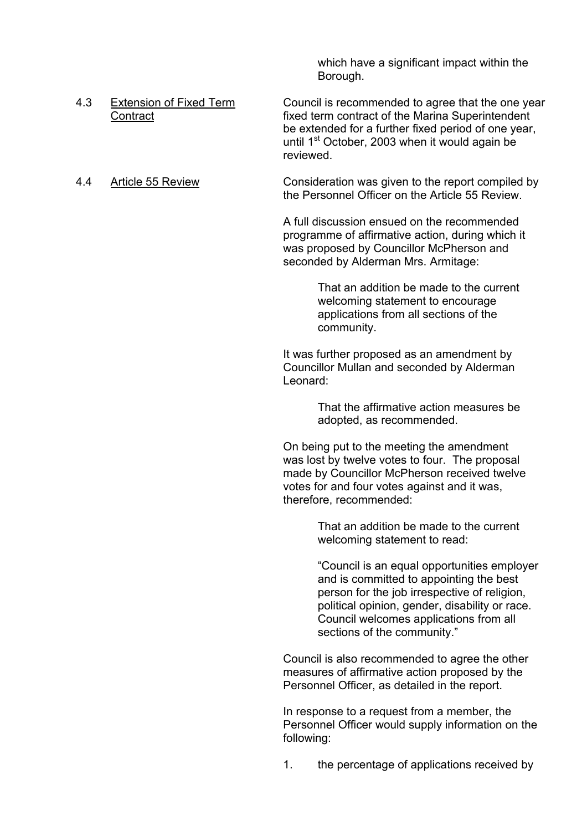which have a significant impact within the Borough.

- 4.3 Extension of Fixed Term Council is recommended to agree that the one year Contract **Fixed term contract of the Marina Superintendent**  be extended for a further fixed period of one year, until  $1<sup>st</sup> October, 2003 when it would again be$ reviewed.
- 

4.4 Article 55 Review Consideration was given to the report compiled by the Personnel Officer on the Article 55 Review.

> A full discussion ensued on the recommended programme of affirmative action, during which it was proposed by Councillor McPherson and seconded by Alderman Mrs. Armitage:

> > That an addition be made to the current welcoming statement to encourage applications from all sections of the community.

 It was further proposed as an amendment by Councillor Mullan and seconded by Alderman Leonard:

> That the affirmative action measures be adopted, as recommended.

 On being put to the meeting the amendment was lost by twelve votes to four. The proposal made by Councillor McPherson received twelve votes for and four votes against and it was, therefore, recommended:

> That an addition be made to the current welcoming statement to read:

 ìCouncil is an equal opportunities employer and is committed to appointing the best person for the job irrespective of religion, political opinion, gender, disability or race. Council welcomes applications from all sections of the community."

 Council is also recommended to agree the other measures of affirmative action proposed by the Personnel Officer, as detailed in the report.

 In response to a request from a member, the Personnel Officer would supply information on the following:

1. the percentage of applications received by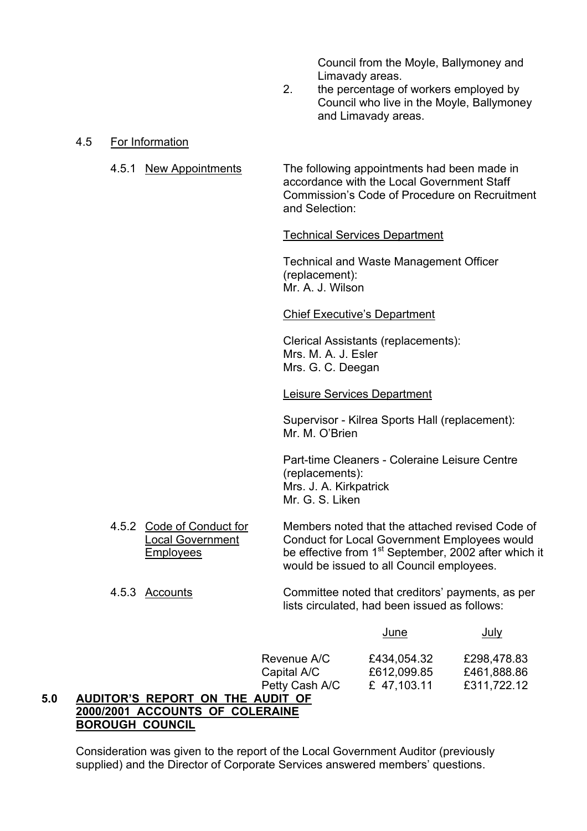Council from the Moyle, Ballymoney and

Limavady areas.<br>2. the percentage of the percentage of workers employed by Council who live in the Moyle, Ballymoney and Limavady areas.

4.5 For Information

4.5.1 New Appointments The following appointments had been made in accordance with the Local Government Staff Commission's Code of Procedure on Recruitment and Selection:

## Technical Services Department

 Technical and Waste Management Officer (replacement): Mr. A. J. Wilson

#### Chief Executive's Department

 Clerical Assistants (replacements): Mrs. M. A. J. Esler Mrs. G. C. Deegan

## Leisure Services Department

 Supervisor - Kilrea Sports Hall (replacement): Mr. M. O'Brien

 Part-time Cleaners - Coleraine Leisure Centre (replacements): Mrs. J. A. Kirkpatrick Mr. G. S. Liken

4.5.2 Code of Conduct for Members noted that the attached revised Code of Local Government Conduct for Local Government Employees would Employees be effective from 1<sup>st</sup> September, 2002 after which it would be issued to all Council employees.

#### 4.5.3 Accounts Committee noted that creditorsí payments, as per lists circulated, had been issued as follows:

|                | <u>June</u> | <u>July</u> |
|----------------|-------------|-------------|
| Revenue A/C    | £434,054.32 | £298,478.83 |
| Capital A/C    | £612,099.85 | £461,888.86 |
| Petty Cash A/C | £ 47,103.11 | £311,722.12 |

# **5.0 AUDITORíS REPORT ON THE AUDIT OF 2000/2001 ACCOUNTS OF COLERAINE BOROUGH COUNCIL**

 Consideration was given to the report of the Local Government Auditor (previously supplied) and the Director of Corporate Services answered members' questions.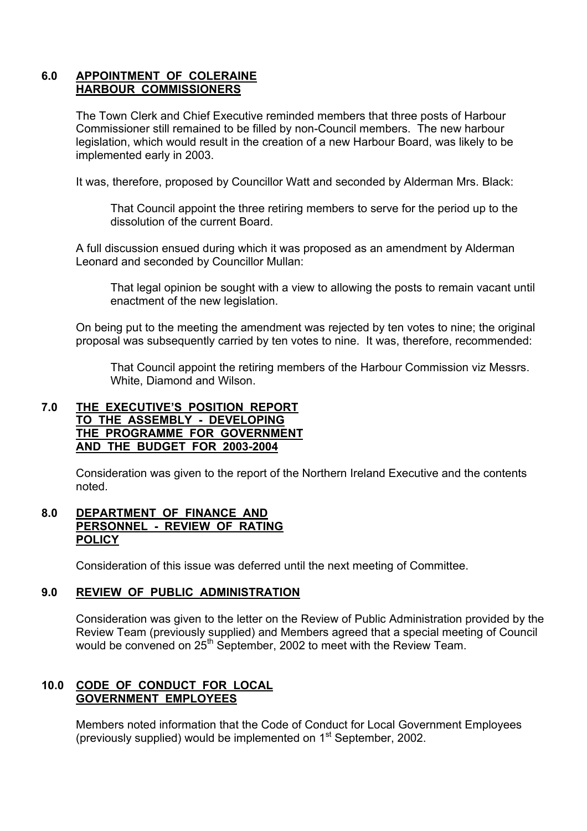## **6.0 APPOINTMENT OF COLERAINE HARBOUR COMMISSIONERS**

 The Town Clerk and Chief Executive reminded members that three posts of Harbour Commissioner still remained to be filled by non-Council members. The new harbour legislation, which would result in the creation of a new Harbour Board, was likely to be implemented early in 2003.

It was, therefore, proposed by Councillor Watt and seconded by Alderman Mrs. Black:

That Council appoint the three retiring members to serve for the period up to the dissolution of the current Board.

 A full discussion ensued during which it was proposed as an amendment by Alderman Leonard and seconded by Councillor Mullan:

 That legal opinion be sought with a view to allowing the posts to remain vacant until enactment of the new legislation.

 On being put to the meeting the amendment was rejected by ten votes to nine; the original proposal was subsequently carried by ten votes to nine. It was, therefore, recommended:

 That Council appoint the retiring members of the Harbour Commission viz Messrs. White, Diamond and Wilson.

## **7.0 THE EXECUTIVEíS POSITION REPORT TO THE ASSEMBLY - DEVELOPING THE PROGRAMME FOR GOVERNMENT AND THE BUDGET FOR 2003-2004**

Consideration was given to the report of the Northern Ireland Executive and the contents noted.

#### **8.0 DEPARTMENT OF FINANCE AND PERSONNEL - REVIEW OF RATING POLICY**

Consideration of this issue was deferred until the next meeting of Committee.

#### **9.0 REVIEW OF PUBLIC ADMINISTRATION**

Consideration was given to the letter on the Review of Public Administration provided by the Review Team (previously supplied) and Members agreed that a special meeting of Council would be convened on 25<sup>th</sup> September, 2002 to meet with the Review Team.

## **10.0 CODE OF CONDUCT FOR LOCAL GOVERNMENT EMPLOYEES**

Members noted information that the Code of Conduct for Local Government Employees (previously supplied) would be implemented on  $1<sup>st</sup>$  September, 2002.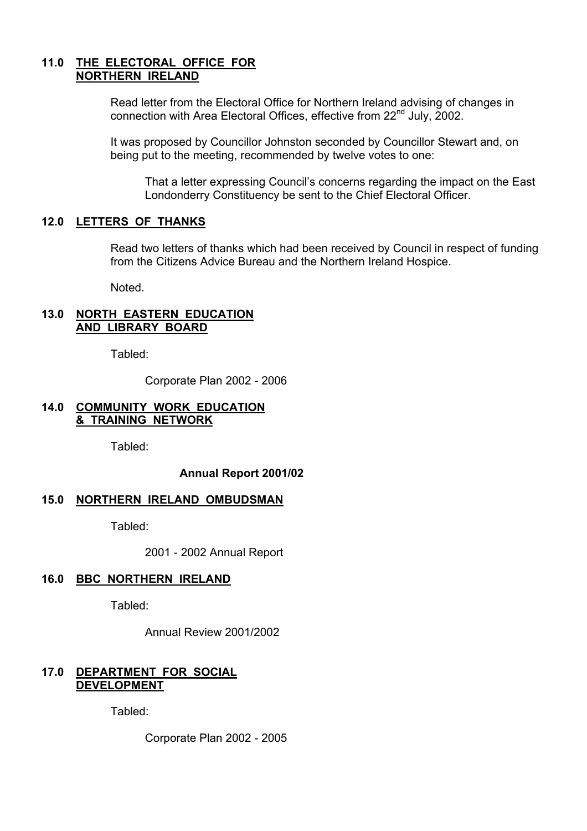## **11.0 THE ELECTORAL OFFICE FOR NORTHERN IRELAND**

Read letter from the Electoral Office for Northern Ireland advising of changes in connection with Area Electoral Offices, effective from 22<sup>nd</sup> July, 2002.

It was proposed by Councillor Johnston seconded by Councillor Stewart and, on being put to the meeting, recommended by twelve votes to one:

That a letter expressing Council's concerns regarding the impact on the East Londonderry Constituency be sent to the Chief Electoral Officer.

#### **12.0 LETTERS OF THANKS**

 Read two letters of thanks which had been received by Council in respect of funding from the Citizens Advice Bureau and the Northern Ireland Hospice.

Noted.

#### **13.0 NORTH EASTERN EDUCATION AND LIBRARY BOARD**

Tabled:

Corporate Plan 2002 - 2006

#### **14.0 COMMUNITY WORK EDUCATION & TRAINING NETWORK**

Tabled:

**Annual Report 2001/02** 

#### **15.0 NORTHERN IRELAND OMBUDSMAN**

Tabled:

2001 - 2002 Annual Report

## **16.0 BBC NORTHERN IRELAND**

Tabled:

Annual Review 2001/2002

## **17.0 DEPARTMENT FOR SOCIAL DEVELOPMENT**

Tabled:

Corporate Plan 2002 - 2005